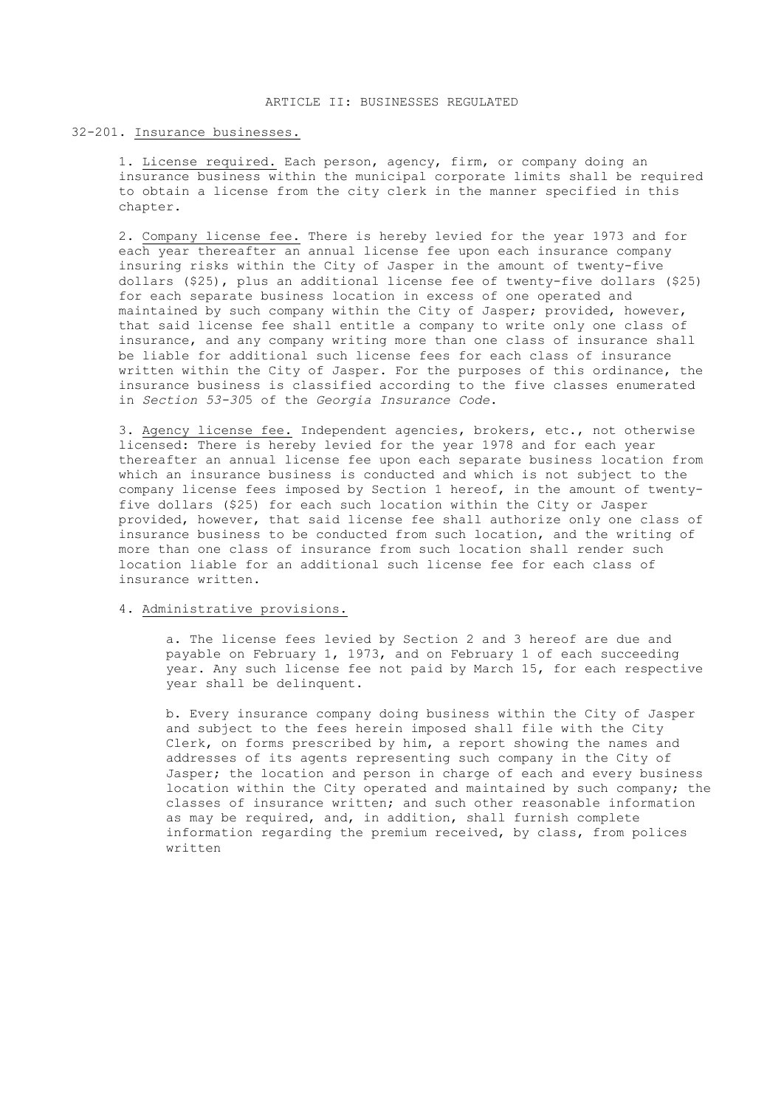#### 32-201. Insurance businesses.

1. License required. Each person, agency, firm, or company doing an insurance business within the municipal corporate limits shall be required to obtain a license from the city clerk in the manner specified in this chapter.

2. Company license fee. There is hereby levied for the year 1973 and for each year thereafter an annual license fee upon each insurance company insuring risks within the City of Jasper in the amount of twenty-five dollars (\$25), plus an additional license fee of twenty-five dollars (\$25) for each separate business location in excess of one operated and maintained by such company within the City of Jasper; provided, however, that said license fee shall entitle a company to write only one class of insurance, and any company writing more than one class of insurance shall be liable for additional such license fees for each class of insurance written within the City of Jasper. For the purposes of this ordinance, the insurance business is classified according to the five classes enumerated in *Section 53-30*5 of the *Georgia Insurance Code*.

3. Agency license fee. Independent agencies, brokers, etc., not otherwise licensed: There is hereby levied for the year 1978 and for each year thereafter an annual license fee upon each separate business location from which an insurance business is conducted and which is not subject to the company license fees imposed by Section 1 hereof, in the amount of twentyfive dollars (\$25) for each such location within the City or Jasper provided, however, that said license fee shall authorize only one class of insurance business to be conducted from such location, and the writing of more than one class of insurance from such location shall render such location liable for an additional such license fee for each class of insurance written.

## 4. Administrative provisions.

a. The license fees levied by Section 2 and 3 hereof are due and payable on February 1, 1973, and on February 1 of each succeeding year. Any such license fee not paid by March 15, for each respective year shall be delinquent.

b. Every insurance company doing business within the City of Jasper and subject to the fees herein imposed shall file with the City Clerk, on forms prescribed by him, a report showing the names and addresses of its agents representing such company in the City of Jasper; the location and person in charge of each and every business location within the City operated and maintained by such company; the classes of insurance written; and such other reasonable information as may be required, and, in addition, shall furnish complete information regarding the premium received, by class, from polices written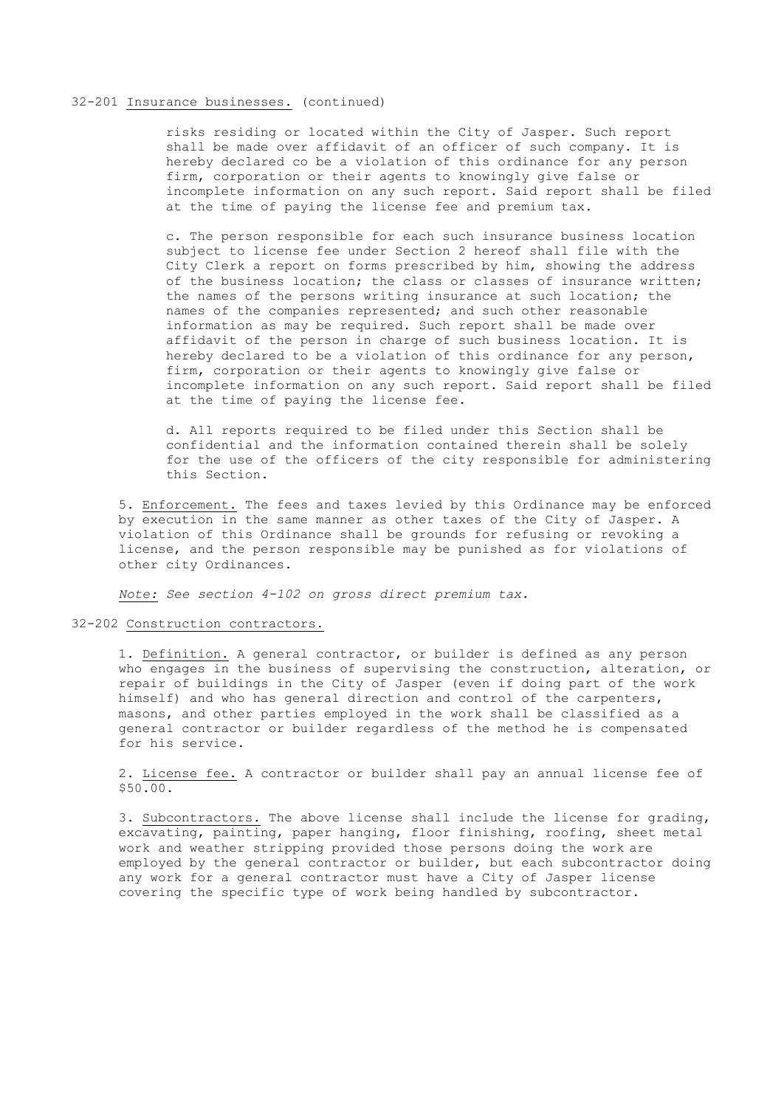### 32-201 Insurance businesses. (continued)

risks residing or located within the City of Jasper. Such report shall be made over affidavit of an officer of such company. It is hereby declared co be a violation of this ordinance for any person firm, corporation or their agents to knowingly give false or incomplete information on any such report. Said report shall be filed at the time of paying the license fee and premium tax.

c. The person responsible for each such insurance business location subject to license fee under Section 2 hereof shall file with the City Clerk a report on forms prescribed by him, showing the address of the business location; the class or classes of insurance written; the names of the persons writing insurance at such location; the names of the companies represented; and such other reasonable information as may be required. Such report shall be made over affidavit of the person in charge of such business location. It is hereby declared to be a violation of this ordinance for any person, firm, corporation or their agents to knowingly give false or incomplete information on any such report. Said report shall be filed at the time of paying the license fee.

d. All reports required to be filed under this Section shall be confidential and the information contained therein shall be solely for the use of the officers of the city responsible for administering this Section.

5. Enforcement. The fees and taxes levied by this Ordinance may be enforced by execution in the same manner as other taxes of the City of Jasper. A violation of this Ordinance shall be grounds for refusing or revoking a license, and the person responsible may be punished as for violations of other city Ordinances.

*Note: See section 4-102 on gross direct premium tax.*

## 32-202 Construction contractors.

1. Definition. A general contractor, or builder is defined as any person who engages in the business of supervising the construction, alteration, or repair of buildings in the City of Jasper (even if doing part of the work himself) and who has general direction and control of the carpenters, masons, and other parties employed in the work shall be classified as a general contractor or builder regardless of the method he is compensated for his service.

2. License fee. A contractor or builder shall pay an annual license fee of \$50.00.

3. Subcontractors. The above license shall include the license for grading, excavating, painting, paper hanging, floor finishing, roofing, sheet metal work and weather stripping provided those persons doing the work are employed by the general contractor or builder, but each subcontractor doing any work for a general contractor must have a City of Jasper license covering the specific type of work being handled by subcontractor.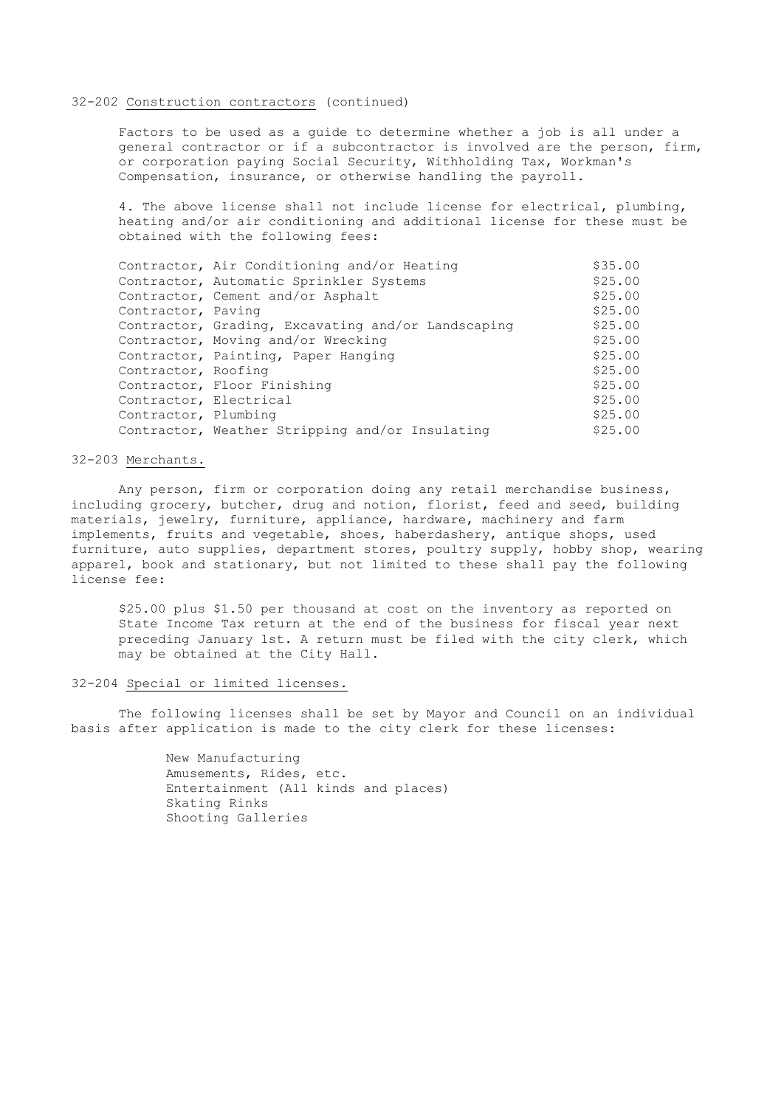### 32-202 Construction contractors (continued)

Factors to be used as a guide to determine whether a job is all under a general contractor or if a subcontractor is involved are the person, firm, or corporation paying Social Security, Withholding Tax, Workman's Compensation, insurance, or otherwise handling the payroll.

4. The above license shall not include license for electrical, plumbing, heating and/or air conditioning and additional license for these must be obtained with the following fees:

|                        | Contractor, Air Conditioning and/or Heating        | \$35.00 |
|------------------------|----------------------------------------------------|---------|
|                        | Contractor, Automatic Sprinkler Systems            | \$25.00 |
|                        | Contractor, Cement and/or Asphalt                  | \$25.00 |
| Contractor, Paving     |                                                    | \$25.00 |
|                        | Contractor, Grading, Excavating and/or Landscaping | \$25.00 |
|                        | Contractor, Moving and/or Wrecking                 | \$25.00 |
|                        | Contractor, Painting, Paper Hanging                | \$25.00 |
| Contractor, Roofing    |                                                    | \$25.00 |
|                        | Contractor, Floor Finishing                        | \$25.00 |
| Contractor, Electrical |                                                    | \$25.00 |
| Contractor, Plumbing   |                                                    | \$25.00 |
|                        | Contractor, Weather Stripping and/or Insulating    | \$25.00 |

## 32-203 Merchants.

Any person, firm or corporation doing any retail merchandise business, including grocery, butcher, drug and notion, florist, feed and seed, building materials, jewelry, furniture, appliance, hardware, machinery and farm implements, fruits and vegetable, shoes, haberdashery, antique shops, used furniture, auto supplies, department stores, poultry supply, hobby shop, wearing apparel, book and stationary, but not limited to these shall pay the following license fee:

\$25.00 plus \$1.50 per thousand at cost on the inventory as reported on State Income Tax return at the end of the business for fiscal year next preceding January 1st. A return must be filed with the city clerk, which may be obtained at the City Hall.

#### 32-204 Special or limited licenses.

The following licenses shall be set by Mayor and Council on an individual basis after application is made to the city clerk for these licenses:

> New Manufacturing Amusements, Rides, etc. Entertainment (All kinds and places) Skating Rinks Shooting Galleries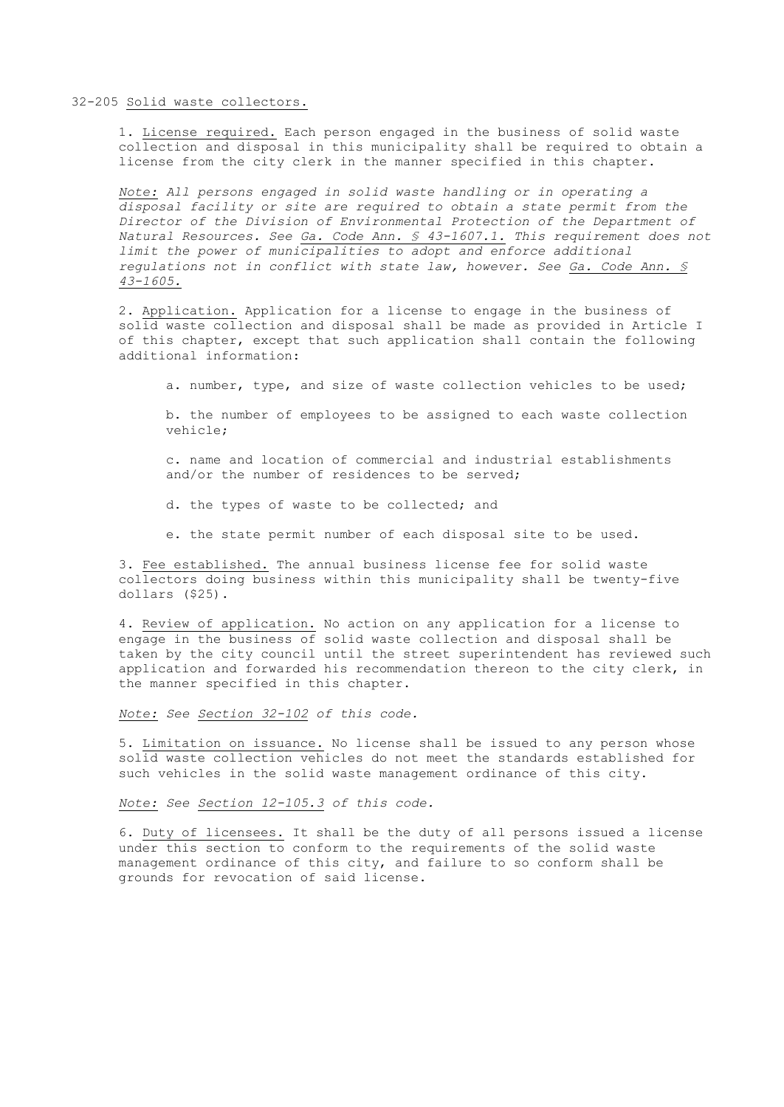#### 32-205 Solid waste collectors.

1. License required. Each person engaged in the business of solid waste collection and disposal in this municipality shall be required to obtain a license from the city clerk in the manner specified in this chapter.

*Note: All persons engaged in solid waste handling or in operating a disposal facility or site are required to obtain a state permit from the Director of the Division of Environmental Protection of the Department of Natural Resources. See Ga. Code Ann. § 43-1607.1. This requirement does not limit the power of municipalities to adopt and enforce additional regulations not in conflict with state law, however. See Ga. Code Ann. § 43-1605.*

2. Application. Application for a license to engage in the business of solid waste collection and disposal shall be made as provided in Article I of this chapter, except that such application shall contain the following additional information:

a. number, type, and size of waste collection vehicles to be used;

b. the number of employees to be assigned to each waste collection vehicle;

c. name and location of commercial and industrial establishments and/or the number of residences to be served;

d. the types of waste to be collected; and

e. the state permit number of each disposal site to be used.

3. Fee established. The annual business license fee for solid waste collectors doing business within this municipality shall be twenty-five dollars (\$25).

4. Review of application. No action on any application for a license to engage in the business of solid waste collection and disposal shall be taken by the city council until the street superintendent has reviewed such application and forwarded his recommendation thereon to the city clerk, in the manner specified in this chapter.

*Note: See Section 32-102 of this code.*

5. Limitation on issuance. No license shall be issued to any person whose solid waste collection vehicles do not meet the standards established for such vehicles in the solid waste management ordinance of this city.

*Note: See Section 12-105.3 of this code.*

6. Duty of licensees. It shall be the duty of all persons issued a license under this section to conform to the requirements of the solid waste management ordinance of this city, and failure to so conform shall be grounds for revocation of said license.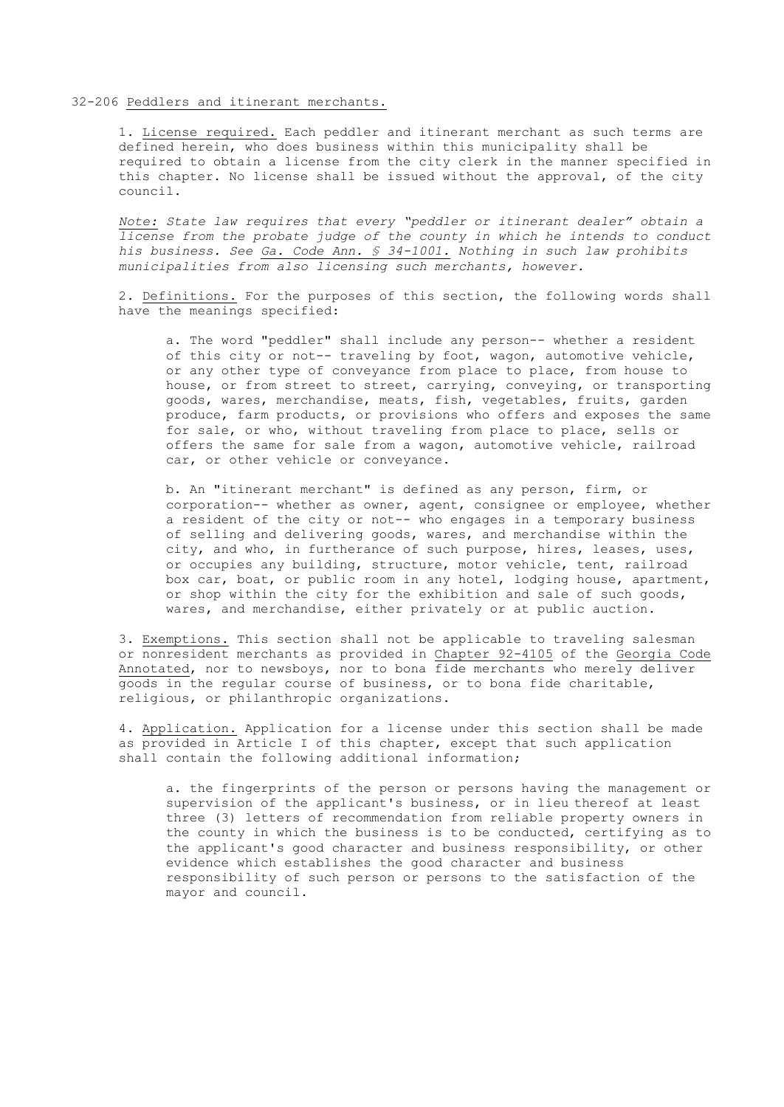### 32-206 Peddlers and itinerant merchants.

1. License required. Each peddler and itinerant merchant as such terms are defined herein, who does business within this municipality shall be required to obtain a license from the city clerk in the manner specified in this chapter. No license shall be issued without the approval, of the city council.

*Note: State law requires that every "peddler or itinerant dealer" obtain a license from the probate judge of the county in which he intends to conduct his business. See Ga. Code Ann. § 34-1001. Nothing in such law prohibits municipalities from also licensing such merchants, however.*

2. Definitions. For the purposes of this section, the following words shall have the meanings specified:

a. The word "peddler" shall include any person-- whether a resident of this city or not-- traveling by foot, wagon, automotive vehicle, or any other type of conveyance from place to place, from house to house, or from street to street, carrying, conveying, or transporting goods, wares, merchandise, meats, fish, vegetables, fruits, garden produce, farm products, or provisions who offers and exposes the same for sale, or who, without traveling from place to place, sells or offers the same for sale from a wagon, automotive vehicle, railroad car, or other vehicle or conveyance.

b. An "itinerant merchant" is defined as any person, firm, or corporation-- whether as owner, agent, consignee or employee, whether a resident of the city or not-- who engages in a temporary business of selling and delivering goods, wares, and merchandise within the city, and who, in furtherance of such purpose, hires, leases, uses, or occupies any building, structure, motor vehicle, tent, railroad box car, boat, or public room in any hotel, lodging house, apartment, or shop within the city for the exhibition and sale of such goods, wares, and merchandise, either privately or at public auction.

3. Exemptions. This section shall not be applicable to traveling salesman or nonresident merchants as provided in Chapter 92-4105 of the Georgia Code Annotated, nor to newsboys, nor to bona fide merchants who merely deliver goods in the regular course of business, or to bona fide charitable, religious, or philanthropic organizations.

4. Application. Application for a license under this section shall be made as provided in Article I of this chapter, except that such application shall contain the following additional information;

a. the fingerprints of the person or persons having the management or supervision of the applicant's business, or in lieu thereof at least three (3) letters of recommendation from reliable property owners in the county in which the business is to be conducted, certifying as to the applicant's good character and business responsibility, or other evidence which establishes the good character and business responsibility of such person or persons to the satisfaction of the mayor and council.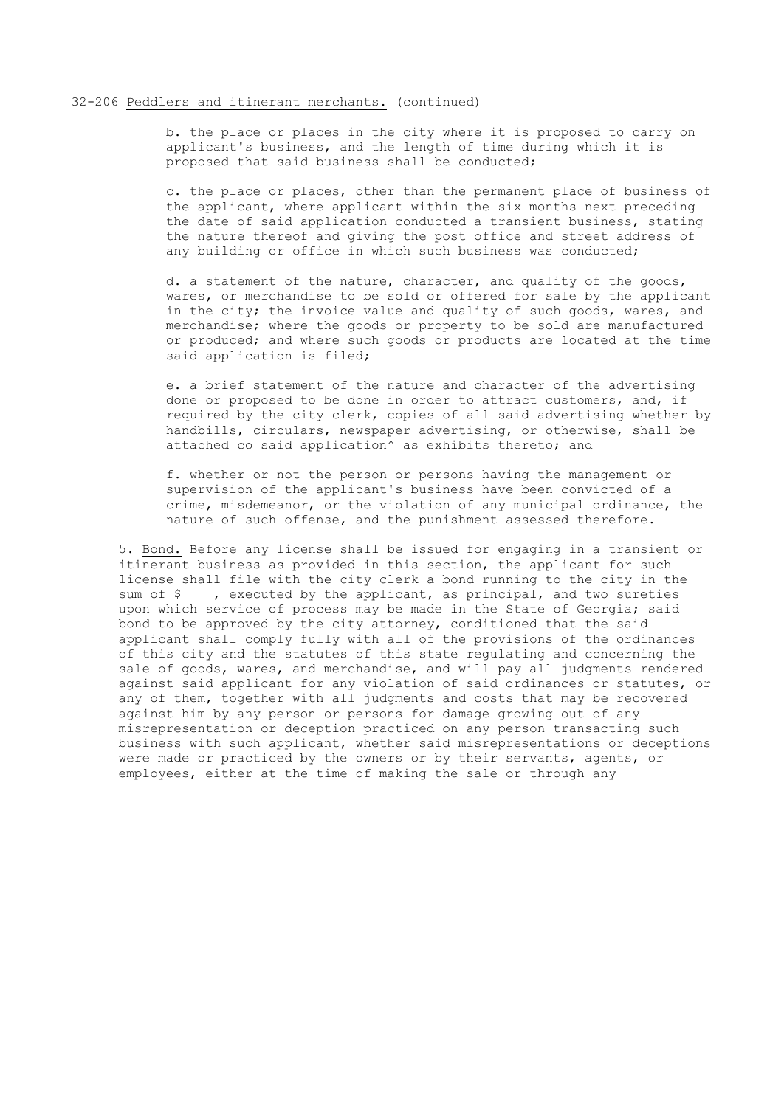### 32-206 Peddlers and itinerant merchants. (continued)

b. the place or places in the city where it is proposed to carry on applicant's business, and the length of time during which it is proposed that said business shall be conducted;

c. the place or places, other than the permanent place of business of the applicant, where applicant within the six months next preceding the date of said application conducted a transient business, stating the nature thereof and giving the post office and street address of any building or office in which such business was conducted;

d. a statement of the nature, character, and quality of the goods, wares, or merchandise to be sold or offered for sale by the applicant in the city; the invoice value and quality of such goods, wares, and merchandise; where the goods or property to be sold are manufactured or produced; and where such goods or products are located at the time said application is filed;

e. a brief statement of the nature and character of the advertising done or proposed to be done in order to attract customers, and, if required by the city clerk, copies of all said advertising whether by handbills, circulars, newspaper advertising, or otherwise, shall be attached co said application<sup>^</sup> as exhibits thereto; and

f. whether or not the person or persons having the management or supervision of the applicant's business have been convicted of a crime, misdemeanor, or the violation of any municipal ordinance, the nature of such offense, and the punishment assessed therefore.

5. Bond. Before any license shall be issued for engaging in a transient or itinerant business as provided in this section, the applicant for such license shall file with the city clerk a bond running to the city in the sum of \$ , executed by the applicant, as principal, and two sureties upon which service of process may be made in the State of Georgia; said bond to be approved by the city attorney, conditioned that the said applicant shall comply fully with all of the provisions of the ordinances of this city and the statutes of this state regulating and concerning the sale of goods, wares, and merchandise, and will pay all judgments rendered against said applicant for any violation of said ordinances or statutes, or any of them, together with all judgments and costs that may be recovered against him by any person or persons for damage growing out of any misrepresentation or deception practiced on any person transacting such business with such applicant, whether said misrepresentations or deceptions were made or practiced by the owners or by their servants, agents, or employees, either at the time of making the sale or through any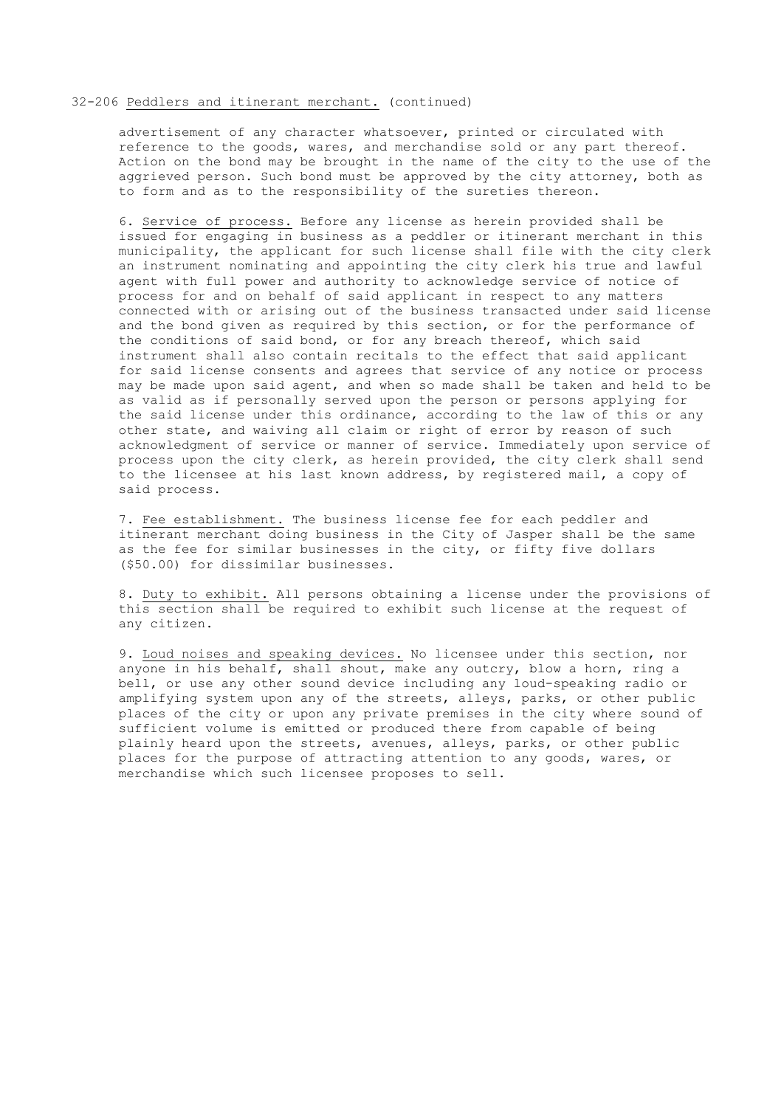### 32-206 Peddlers and itinerant merchant. (continued)

advertisement of any character whatsoever, printed or circulated with reference to the goods, wares, and merchandise sold or any part thereof. Action on the bond may be brought in the name of the city to the use of the aggrieved person. Such bond must be approved by the city attorney, both as to form and as to the responsibility of the sureties thereon.

6. Service of process. Before any license as herein provided shall be issued for engaging in business as a peddler or itinerant merchant in this municipality, the applicant for such license shall file with the city clerk an instrument nominating and appointing the city clerk his true and lawful agent with full power and authority to acknowledge service of notice of process for and on behalf of said applicant in respect to any matters connected with or arising out of the business transacted under said license and the bond given as required by this section, or for the performance of the conditions of said bond, or for any breach thereof, which said instrument shall also contain recitals to the effect that said applicant for said license consents and agrees that service of any notice or process may be made upon said agent, and when so made shall be taken and held to be as valid as if personally served upon the person or persons applying for the said license under this ordinance, according to the law of this or any other state, and waiving all claim or right of error by reason of such acknowledgment of service or manner of service. Immediately upon service of process upon the city clerk, as herein provided, the city clerk shall send to the licensee at his last known address, by registered mail, a copy of said process.

7. Fee establishment. The business license fee for each peddler and itinerant merchant doing business in the City of Jasper shall be the same as the fee for similar businesses in the city, or fifty five dollars (\$50.00) for dissimilar businesses.

8. Duty to exhibit. All persons obtaining a license under the provisions of this section shall be required to exhibit such license at the request of any citizen.

9. Loud noises and speaking devices. No licensee under this section, nor anyone in his behalf, shall shout, make any outcry, blow a horn, ring a bell, or use any other sound device including any loud-speaking radio or amplifying system upon any of the streets, alleys, parks, or other public places of the city or upon any private premises in the city where sound of sufficient volume is emitted or produced there from capable of being plainly heard upon the streets, avenues, alleys, parks, or other public places for the purpose of attracting attention to any goods, wares, or merchandise which such licensee proposes to sell.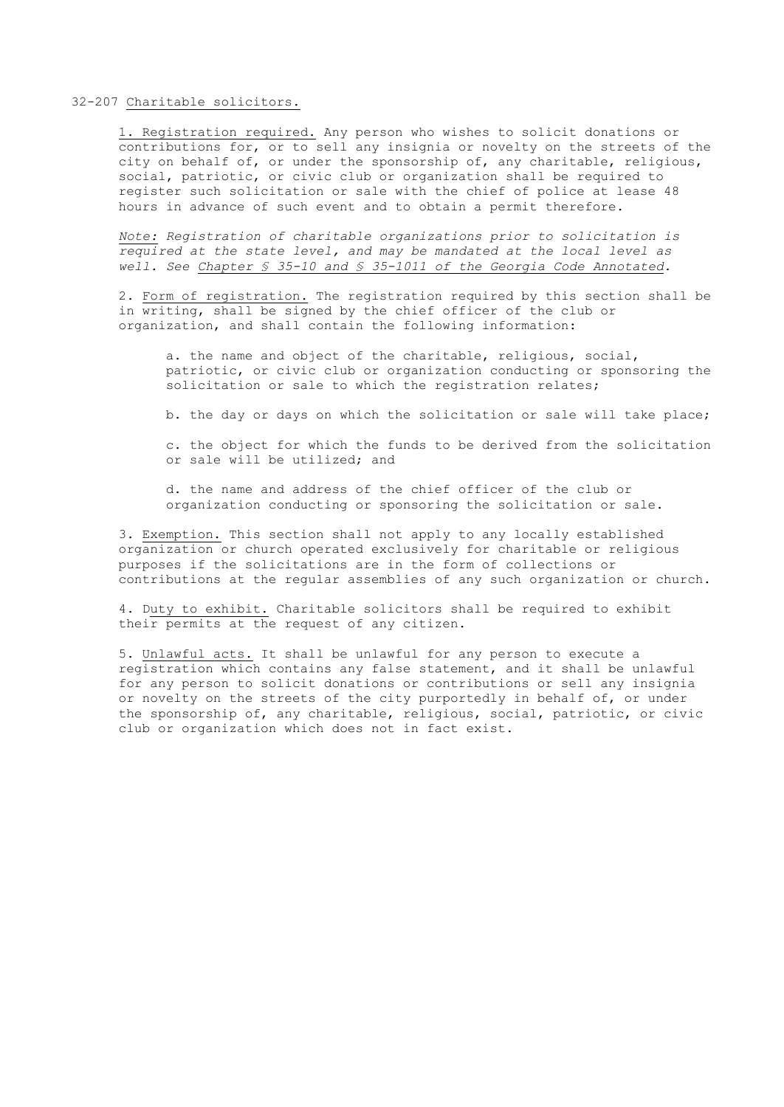### 32-207 Charitable solicitors.

1. Registration required. Any person who wishes to solicit donations or contributions for, or to sell any insignia or novelty on the streets of the city on behalf of, or under the sponsorship of, any charitable, religious, social, patriotic, or civic club or organization shall be required to register such solicitation or sale with the chief of police at lease 48 hours in advance of such event and to obtain a permit therefore.

*Note: Registration of charitable organizations prior to solicitation is required at the state level, and may be mandated at the local level as well. See Chapter § 35-10 and § 35-1011 of the Georgia Code Annotated.*

2. Form of registration. The registration required by this section shall be in writing, shall be signed by the chief officer of the club or organization, and shall contain the following information:

a. the name and object of the charitable, religious, social, patriotic, or civic club or organization conducting or sponsoring the solicitation or sale to which the registration relates;

b. the day or days on which the solicitation or sale will take place;

c. the object for which the funds to be derived from the solicitation or sale will be utilized; and

d. the name and address of the chief officer of the club or organization conducting or sponsoring the solicitation or sale.

3. Exemption. This section shall not apply to any locally established organization or church operated exclusively for charitable or religious purposes if the solicitations are in the form of collections or contributions at the regular assemblies of any such organization or church.

4. Duty to exhibit. Charitable solicitors shall be required to exhibit their permits at the request of any citizen.

5. Unlawful acts. It shall be unlawful for any person to execute a registration which contains any false statement, and it shall be unlawful for any person to solicit donations or contributions or sell any insignia or novelty on the streets of the city purportedly in behalf of, or under the sponsorship of, any charitable, religious, social, patriotic, or civic club or organization which does not in fact exist.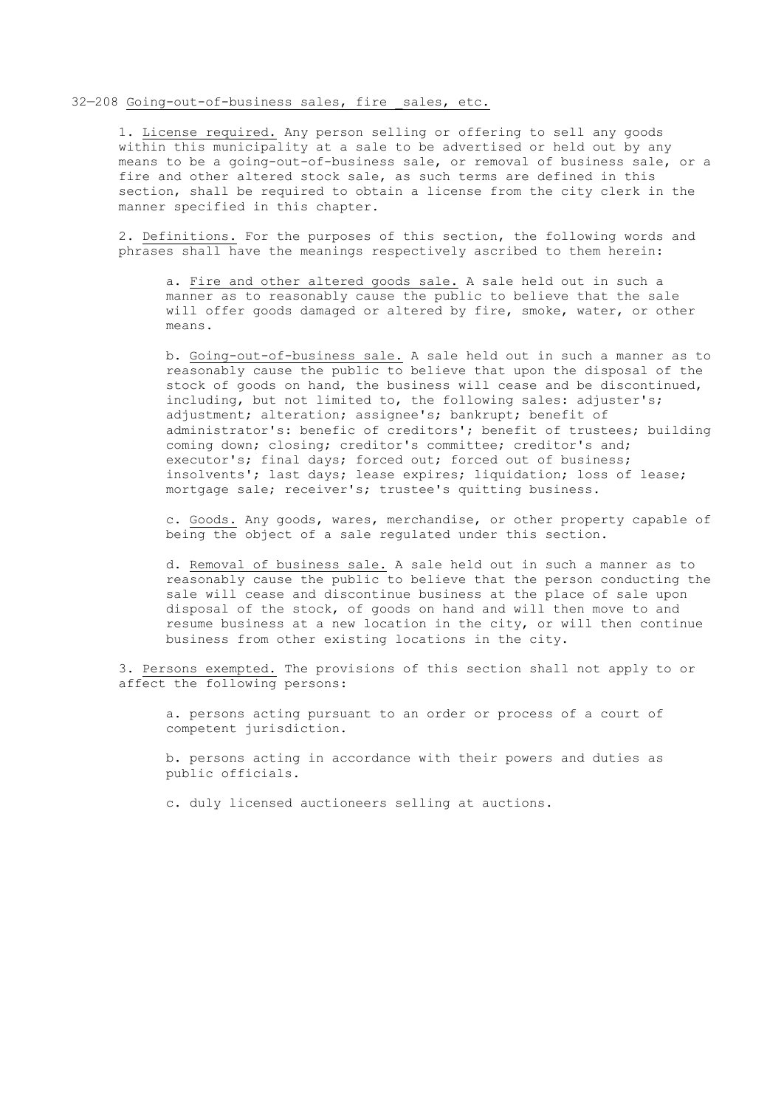### 32-208 Going-out-of-business sales, fire sales, etc.

1. License required. Any person selling or offering to sell any goods within this municipality at a sale to be advertised or held out by any means to be a going-out-of-business sale, or removal of business sale, or a fire and other altered stock sale, as such terms are defined in this section, shall be required to obtain a license from the city clerk in the manner specified in this chapter.

2. Definitions. For the purposes of this section, the following words and phrases shall have the meanings respectively ascribed to them herein:

a. Fire and other altered goods sale. A sale held out in such a manner as to reasonably cause the public to believe that the sale will offer goods damaged or altered by fire, smoke, water, or other means.

b. Going-out-of-business sale. A sale held out in such a manner as to reasonably cause the public to believe that upon the disposal of the stock of goods on hand, the business will cease and be discontinued, including, but not limited to, the following sales: adjuster's; adjustment; alteration; assignee's; bankrupt; benefit of administrator's: benefic of creditors'; benefit of trustees; building coming down; closing; creditor's committee; creditor's and; executor's; final days; forced out; forced out of business; insolvents'; last days; lease expires; liquidation; loss of lease; mortgage sale; receiver's; trustee's quitting business.

c. Goods. Any goods, wares, merchandise, or other property capable of being the object of a sale regulated under this section.

d. Removal of business sale. A sale held out in such a manner as to reasonably cause the public to believe that the person conducting the sale will cease and discontinue business at the place of sale upon disposal of the stock, of goods on hand and will then move to and resume business at a new location in the city, or will then continue business from other existing locations in the city.

3. Persons exempted. The provisions of this section shall not apply to or affect the following persons:

a. persons acting pursuant to an order or process of a court of competent jurisdiction.

b. persons acting in accordance with their powers and duties as public officials.

c. duly licensed auctioneers selling at auctions.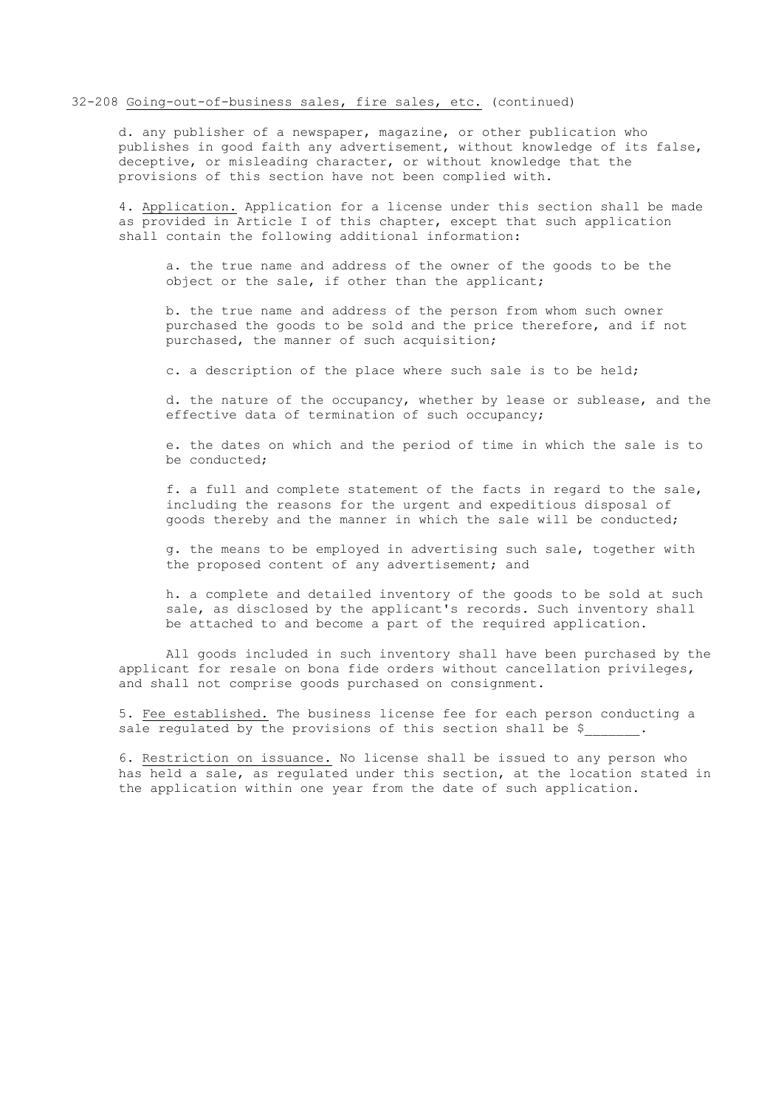### 32-208 Going-out-of-business sales, fire sales, etc. (continued)

d. any publisher of a newspaper, magazine, or other publication who publishes in good faith any advertisement, without knowledge of its false, deceptive, or misleading character, or without knowledge that the provisions of this section have not been complied with.

4. Application. Application for a license under this section shall be made as provided in Article I of this chapter, except that such application shall contain the following additional information:

a. the true name and address of the owner of the goods to be the object or the sale, if other than the applicant;

b. the true name and address of the person from whom such owner purchased the goods to be sold and the price therefore, and if not purchased, the manner of such acquisition;

c. a description of the place where such sale is to be held;

d. the nature of the occupancy, whether by lease or sublease, and the effective data of termination of such occupancy;

e. the dates on which and the period of time in which the sale is to be conducted;

f. a full and complete statement of the facts in regard to the sale, including the reasons for the urgent and expeditious disposal of goods thereby and the manner in which the sale will be conducted;

g. the means to be employed in advertising such sale, together with the proposed content of any advertisement; and

h. a complete and detailed inventory of the goods to be sold at such sale, as disclosed by the applicant's records. Such inventory shall be attached to and become a part of the required application.

All goods included in such inventory shall have been purchased by the applicant for resale on bona fide orders without cancellation privileges, and shall not comprise goods purchased on consignment.

5. Fee established. The business license fee for each person conducting a sale regulated by the provisions of this section shall be \$.

6. Restriction on issuance. No license shall be issued to any person who has held a sale, as regulated under this section, at the location stated in the application within one year from the date of such application.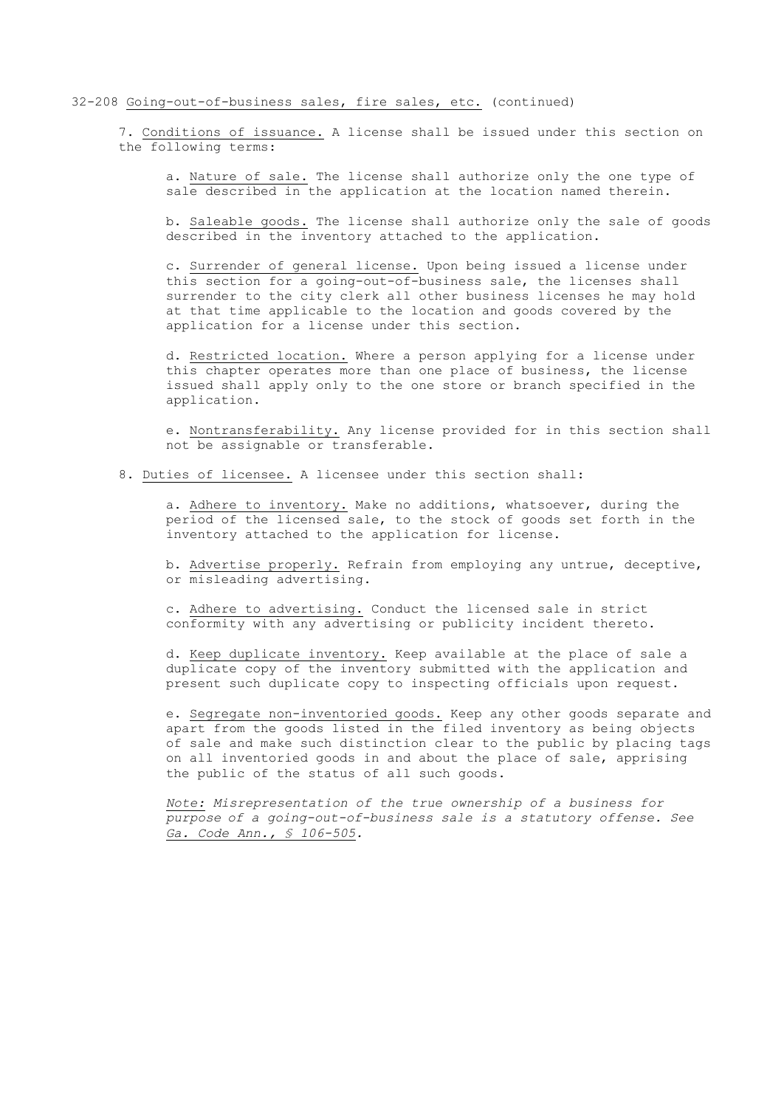### 32-208 Going-out-of-business sales, fire sales, etc. (continued)

7. Conditions of issuance. A license shall be issued under this section on the following terms:

a. Nature of sale. The license shall authorize only the one type of sale described in the application at the location named therein.

b. Saleable goods. The license shall authorize only the sale of goods described in the inventory attached to the application.

c. Surrender of general license. Upon being issued a license under this section for a going-out-of-business sale, the licenses shall surrender to the city clerk all other business licenses he may hold at that time applicable to the location and goods covered by the application for a license under this section.

d. Restricted location. Where a person applying for a license under this chapter operates more than one place of business, the license issued shall apply only to the one store or branch specified in the application.

e. Nontransferability. Any license provided for in this section shall not be assignable or transferable.

8. Duties of licensee. A licensee under this section shall:

a. Adhere to inventory. Make no additions, whatsoever, during the period of the licensed sale, to the stock of goods set forth in the inventory attached to the application for license.

b. Advertise properly. Refrain from employing any untrue, deceptive, or misleading advertising.

c. Adhere to advertising. Conduct the licensed sale in strict conformity with any advertising or publicity incident thereto.

d. Keep duplicate inventory. Keep available at the place of sale a duplicate copy of the inventory submitted with the application and present such duplicate copy to inspecting officials upon request.

e. Segregate non-inventoried goods. Keep any other goods separate and apart from the goods listed in the filed inventory as being objects of sale and make such distinction clear to the public by placing tags on all inventoried goods in and about the place of sale, apprising the public of the status of all such goods.

*Note: Misrepresentation of the true ownership of a business for purpose of a going-out-of-business sale is a statutory offense. See Ga. Code Ann., § 106-505.*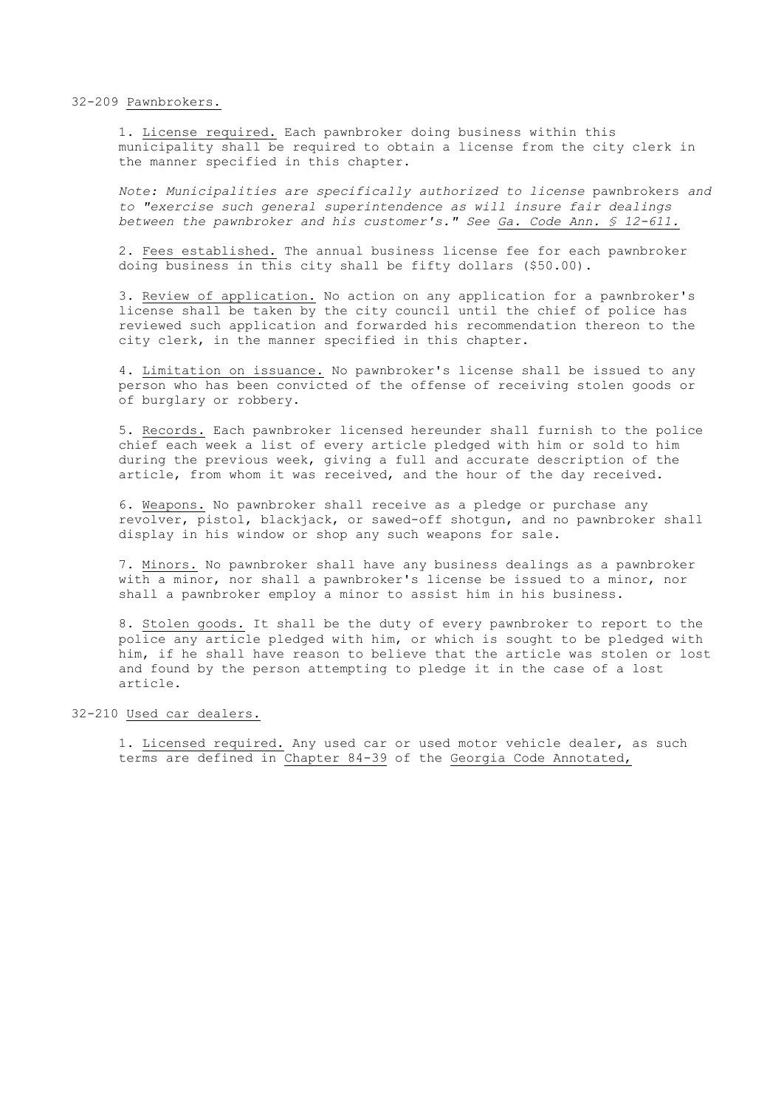### 32-209 Pawnbrokers.

1. License required. Each pawnbroker doing business within this municipality shall be required to obtain a license from the city clerk in the manner specified in this chapter.

*Note: Municipalities are specifically authorized to license* pawnbrokers *and to "exercise such general superintendence as will insure fair dealings between the pawnbroker and his customer's." See Ga. Code Ann. § 12-611.*

2. Fees established. The annual business license fee for each pawnbroker doing business in this city shall be fifty dollars (\$50.00).

3. Review of application. No action on any application for a pawnbroker's license shall be taken by the city council until the chief of police has reviewed such application and forwarded his recommendation thereon to the city clerk, in the manner specified in this chapter.

4. Limitation on issuance. No pawnbroker's license shall be issued to any person who has been convicted of the offense of receiving stolen goods or of burglary or robbery.

5. Records. Each pawnbroker licensed hereunder shall furnish to the police chief each week a list of every article pledged with him or sold to him during the previous week, giving a full and accurate description of the article, from whom it was received, and the hour of the day received.

6. Weapons. No pawnbroker shall receive as a pledge or purchase any revolver, pistol, blackjack, or sawed-off shotgun, and no pawnbroker shall display in his window or shop any such weapons for sale.

7. Minors. No pawnbroker shall have any business dealings as a pawnbroker with a minor, nor shall a pawnbroker's license be issued to a minor, nor shall a pawnbroker employ a minor to assist him in his business.

8. Stolen goods. It shall be the duty of every pawnbroker to report to the police any article pledged with him, or which is sought to be pledged with him, if he shall have reason to believe that the article was stolen or lost and found by the person attempting to pledge it in the case of a lost article.

## 32-210 Used car dealers.

1. Licensed required. Any used car or used motor vehicle dealer, as such terms are defined in Chapter 84-39 of the Georgia Code Annotated,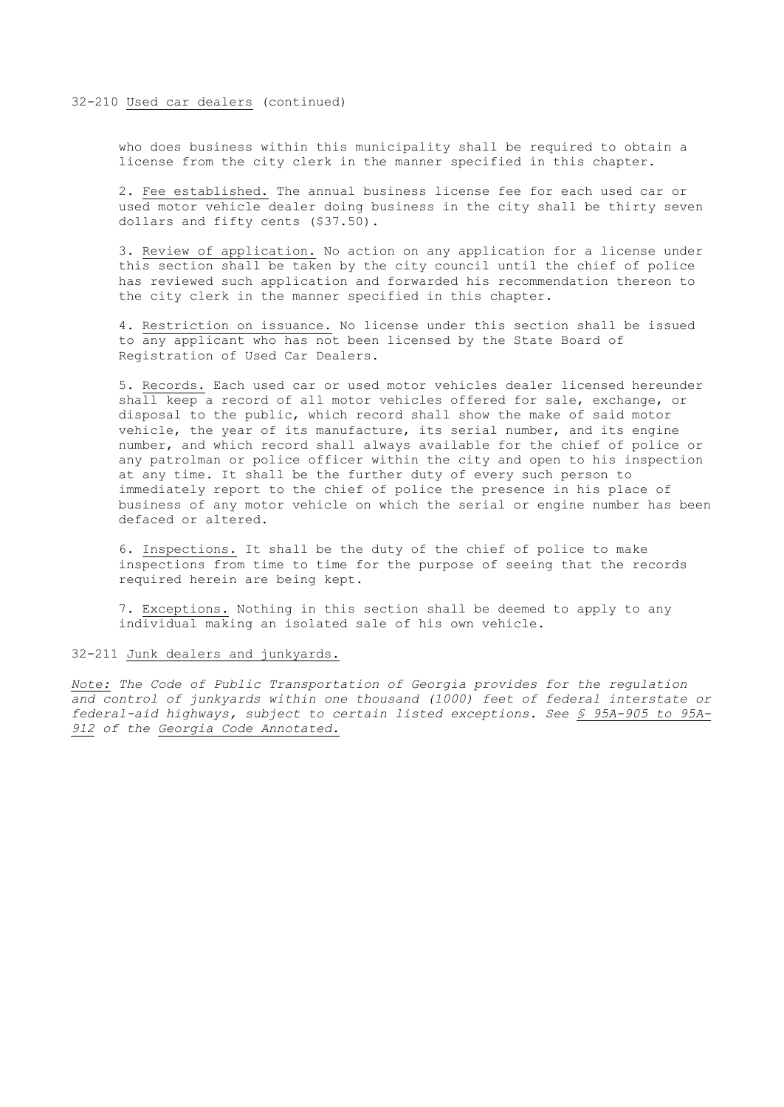## 32-210 Used car dealers (continued)

who does business within this municipality shall be required to obtain a license from the city clerk in the manner specified in this chapter.

2. Fee established. The annual business license fee for each used car or used motor vehicle dealer doing business in the city shall be thirty seven dollars and fifty cents (\$37.50).

3. Review of application. No action on any application for a license under this section shall be taken by the city council until the chief of police has reviewed such application and forwarded his recommendation thereon to the city clerk in the manner specified in this chapter.

4. Restriction on issuance. No license under this section shall be issued to any applicant who has not been licensed by the State Board of Registration of Used Car Dealers.

5. Records. Each used car or used motor vehicles dealer licensed hereunder shall keep a record of all motor vehicles offered for sale, exchange, or disposal to the public, which record shall show the make of said motor vehicle, the year of its manufacture, its serial number, and its engine number, and which record shall always available for the chief of police or any patrolman or police officer within the city and open to his inspection at any time. It shall be the further duty of every such person to immediately report to the chief of police the presence in his place of business of any motor vehicle on which the serial or engine number has been defaced or altered.

6. Inspections. It shall be the duty of the chief of police to make inspections from time to time for the purpose of seeing that the records required herein are being kept.

7. Exceptions. Nothing in this section shall be deemed to apply to any individual making an isolated sale of his own vehicle.

## 32-211 Junk dealers and junkyards.

*Note: The Code of Public Transportation of Georgia provides for the regulation and control of junkyards within one thousand (1000) feet of federal interstate or federal-aid highways, subject to certain listed exceptions. See § 95A-905 to 95A-912 of the Georgia Code Annotated.*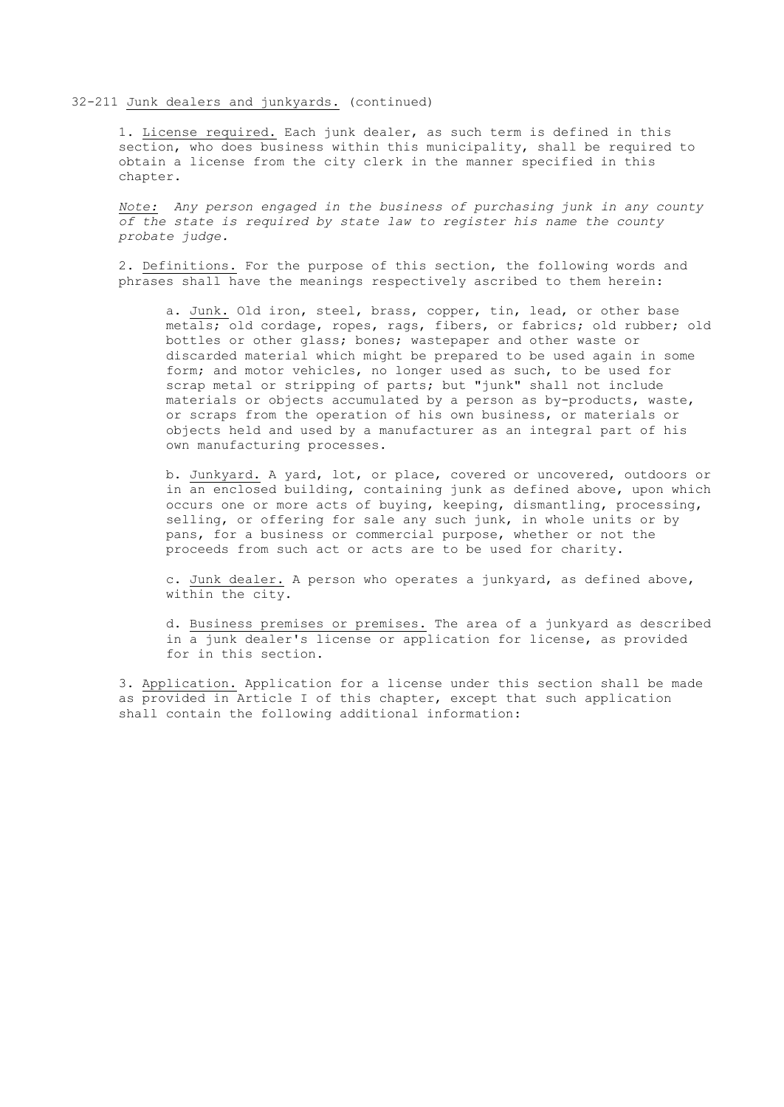1. License required. Each junk dealer, as such term is defined in this section, who does business within this municipality, shall be required to obtain a license from the city clerk in the manner specified in this chapter.

*Note: Any person engaged in the business of purchasing junk in any county of the state is required by state law to register his name the county probate judge.*

2. Definitions. For the purpose of this section, the following words and phrases shall have the meanings respectively ascribed to them herein:

a. Junk. Old iron, steel, brass, copper, tin, lead, or other base metals; old cordage, ropes, rags, fibers, or fabrics; old rubber; old bottles or other glass; bones; wastepaper and other waste or discarded material which might be prepared to be used again in some form; and motor vehicles, no longer used as such, to be used for scrap metal or stripping of parts; but "junk" shall not include materials or objects accumulated by a person as by-products, waste, or scraps from the operation of his own business, or materials or objects held and used by a manufacturer as an integral part of his own manufacturing processes.

b. Junkyard. A yard, lot, or place, covered or uncovered, outdoors or in an enclosed building, containing junk as defined above, upon which occurs one or more acts of buying, keeping, dismantling, processing, selling, or offering for sale any such junk, in whole units or by pans, for a business or commercial purpose, whether or not the proceeds from such act or acts are to be used for charity.

c. Junk dealer. A person who operates a junkyard, as defined above, within the city.

d. Business premises or premises. The area of a junkyard as described in a junk dealer's license or application for license, as provided for in this section.

3. Application. Application for a license under this section shall be made as provided in Article I of this chapter, except that such application shall contain the following additional information: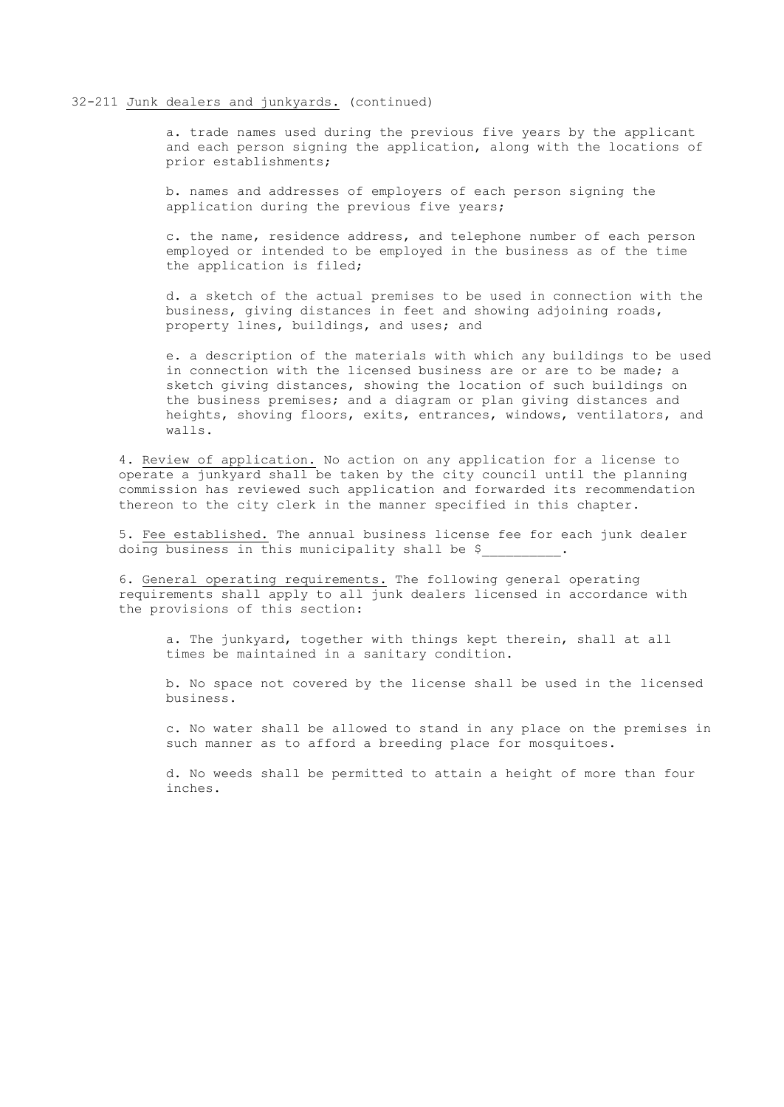a. trade names used during the previous five years by the applicant and each person signing the application, along with the locations of prior establishments;

b. names and addresses of employers of each person signing the application during the previous five years;

c. the name, residence address, and telephone number of each person employed or intended to be employed in the business as of the time the application is filed;

d. a sketch of the actual premises to be used in connection with the business, giving distances in feet and showing adjoining roads, property lines, buildings, and uses; and

e. a description of the materials with which any buildings to be used in connection with the licensed business are or are to be made; a sketch giving distances, showing the location of such buildings on the business premises; and a diagram or plan giving distances and heights, shoving floors, exits, entrances, windows, ventilators, and walls.

4. Review of application. No action on any application for a license to operate a junkyard shall be taken by the city council until the planning commission has reviewed such application and forwarded its recommendation thereon to the city clerk in the manner specified in this chapter.

5. Fee established. The annual business license fee for each junk dealer doing business in this municipality shall be \$\_\_\_\_\_\_\_\_\_\_.

6. General operating requirements. The following general operating requirements shall apply to all junk dealers licensed in accordance with the provisions of this section:

a. The junkyard, together with things kept therein, shall at all times be maintained in a sanitary condition.

b. No space not covered by the license shall be used in the licensed business.

c. No water shall be allowed to stand in any place on the premises in such manner as to afford a breeding place for mosquitoes.

d. No weeds shall be permitted to attain a height of more than four inches.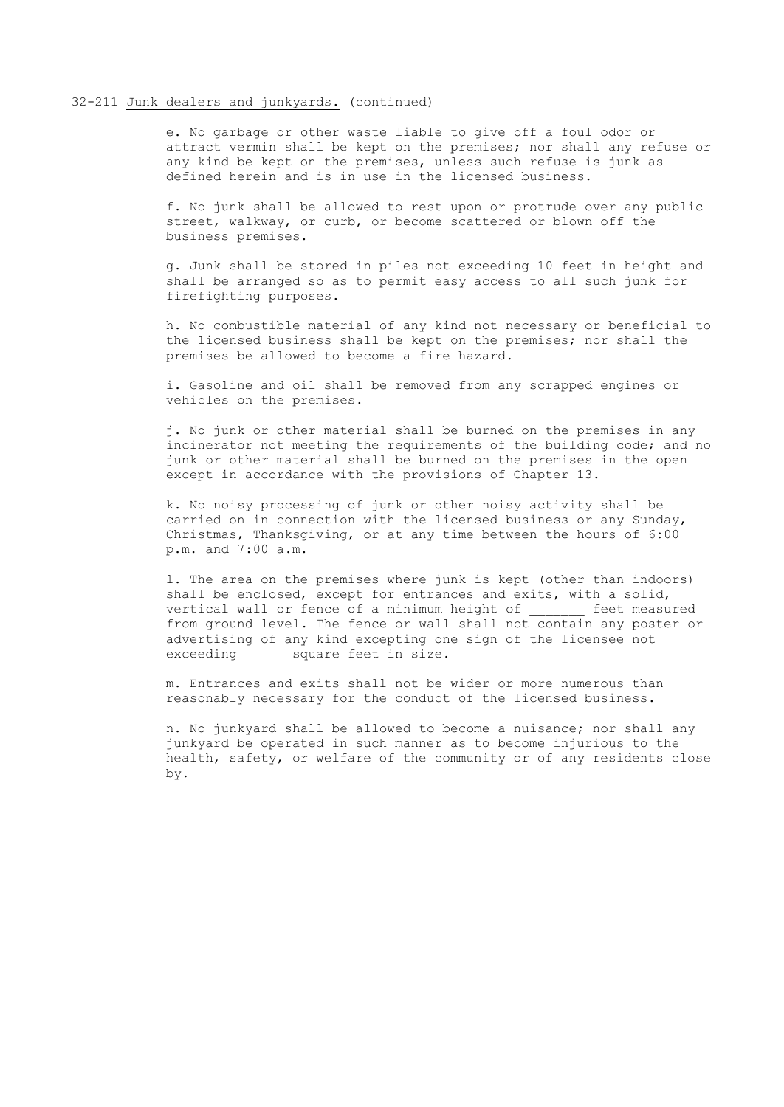e. No garbage or other waste liable to give off a foul odor or attract vermin shall be kept on the premises; nor shall any refuse or any kind be kept on the premises, unless such refuse is junk as defined herein and is in use in the licensed business.

f. No junk shall be allowed to rest upon or protrude over any public street, walkway, or curb, or become scattered or blown off the business premises.

g. Junk shall be stored in piles not exceeding 10 feet in height and shall be arranged so as to permit easy access to all such junk for firefighting purposes.

h. No combustible material of any kind not necessary or beneficial to the licensed business shall be kept on the premises; nor shall the premises be allowed to become a fire hazard.

i. Gasoline and oil shall be removed from any scrapped engines or vehicles on the premises.

j. No junk or other material shall be burned on the premises in any incinerator not meeting the requirements of the building code; and no junk or other material shall be burned on the premises in the open except in accordance with the provisions of Chapter 13.

k. No noisy processing of junk or other noisy activity shall be carried on in connection with the licensed business or any Sunday, Christmas, Thanksgiving, or at any time between the hours of 6:00 p.m. and 7:00 a.m.

l. The area on the premises where junk is kept (other than indoors) shall be enclosed, except for entrances and exits, with a solid, vertical wall or fence of a minimum height of feet measured from ground level. The fence or wall shall not contain any poster or advertising of any kind excepting one sign of the licensee not exceeding \_\_\_\_\_ square feet in size.

m. Entrances and exits shall not be wider or more numerous than reasonably necessary for the conduct of the licensed business.

n. No junkyard shall be allowed to become a nuisance; nor shall any junkyard be operated in such manner as to become injurious to the health, safety, or welfare of the community or of any residents close by.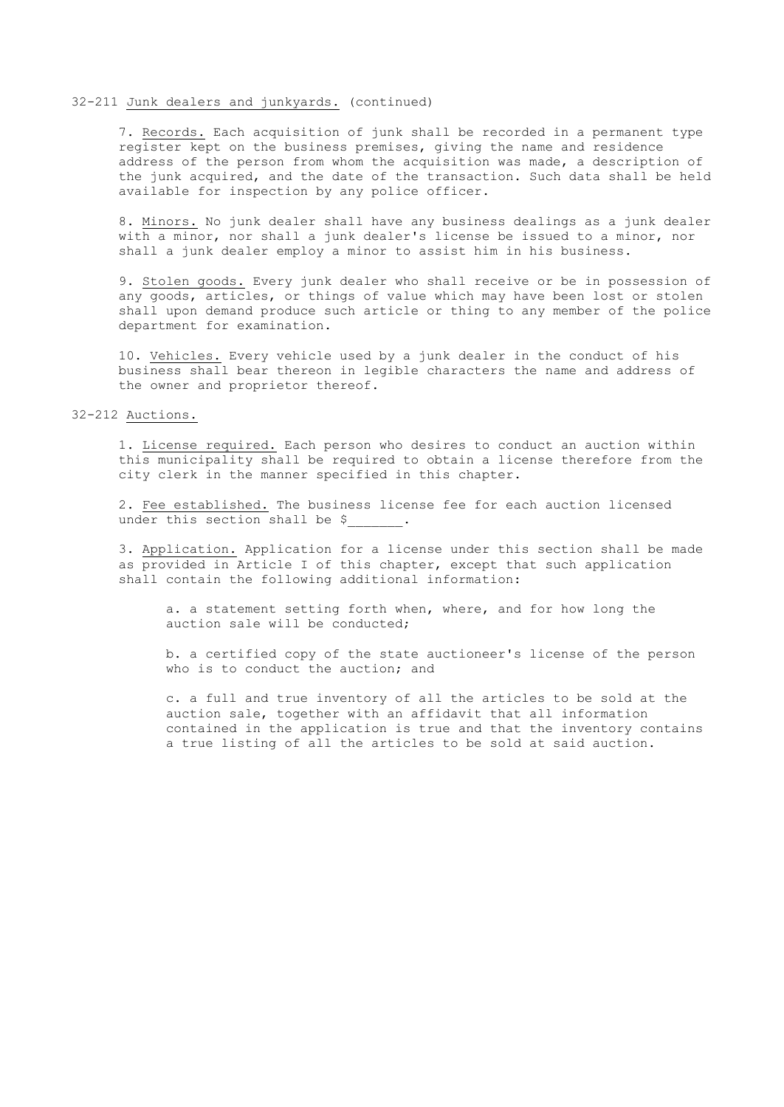7. Records. Each acquisition of junk shall be recorded in a permanent type register kept on the business premises, giving the name and residence address of the person from whom the acquisition was made, a description of the junk acquired, and the date of the transaction. Such data shall be held available for inspection by any police officer.

8. Minors. No junk dealer shall have any business dealings as a junk dealer with a minor, nor shall a junk dealer's license be issued to a minor, nor shall a junk dealer employ a minor to assist him in his business.

9. Stolen goods. Every junk dealer who shall receive or be in possession of any goods, articles, or things of value which may have been lost or stolen shall upon demand produce such article or thing to any member of the police department for examination.

10. Vehicles. Every vehicle used by a junk dealer in the conduct of his business shall bear thereon in legible characters the name and address of the owner and proprietor thereof.

## 32-212 Auctions.

1. License required. Each person who desires to conduct an auction within this municipality shall be required to obtain a license therefore from the city clerk in the manner specified in this chapter.

2. Fee established. The business license fee for each auction licensed under this section shall be \$.

3. Application. Application for a license under this section shall be made as provided in Article I of this chapter, except that such application shall contain the following additional information:

a. a statement setting forth when, where, and for how long the auction sale will be conducted;

b. a certified copy of the state auctioneer's license of the person who is to conduct the auction; and

c. a full and true inventory of all the articles to be sold at the auction sale, together with an affidavit that all information contained in the application is true and that the inventory contains a true listing of all the articles to be sold at said auction.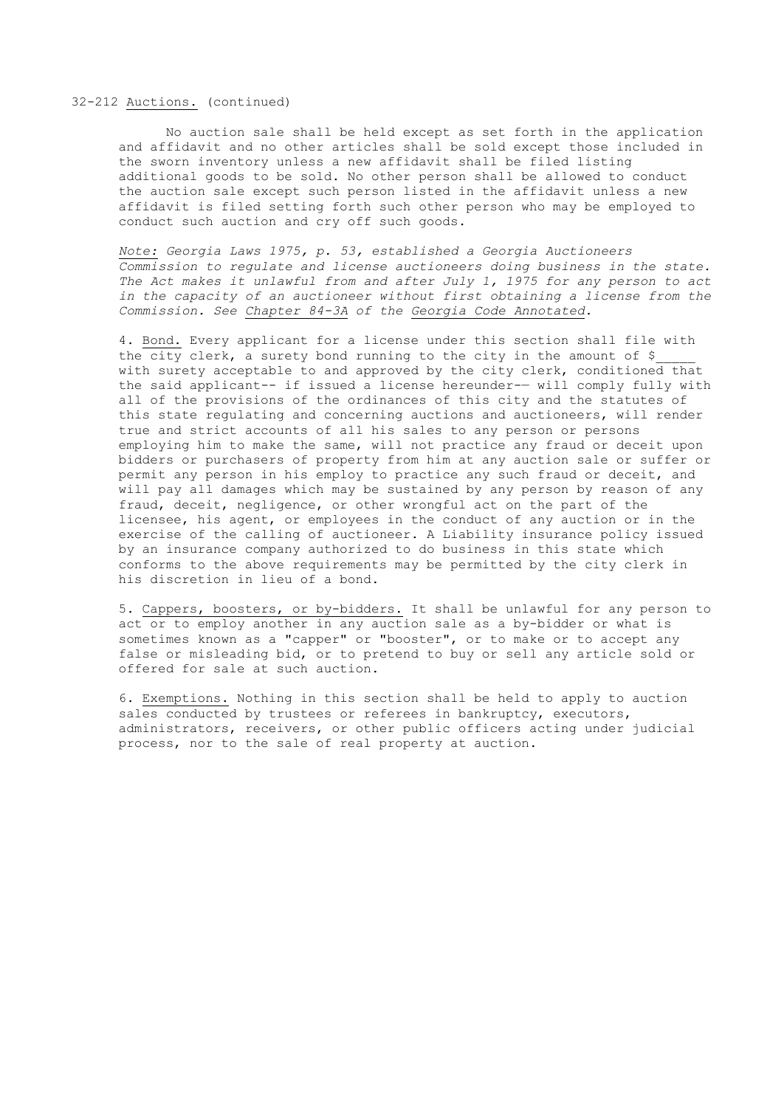## 32-212 Auctions. (continued)

No auction sale shall be held except as set forth in the application and affidavit and no other articles shall be sold except those included in the sworn inventory unless a new affidavit shall be filed listing additional goods to be sold. No other person shall be allowed to conduct the auction sale except such person listed in the affidavit unless a new affidavit is filed setting forth such other person who may be employed to conduct such auction and cry off such goods.

*Note: Georgia Laws 1975, p. 53, established a Georgia Auctioneers Commission to regulate and license auctioneers doing business in the state. The Act makes it unlawful from and after July 1, 1975 for any person to act in the capacity of an auctioneer without first obtaining a license from the Commission. See Chapter 84-3A of the Georgia Code Annotated.*

4. Bond. Every applicant for a license under this section shall file with the city clerk, a surety bond running to the city in the amount of \$\_\_\_\_\_ with surety acceptable to and approved by the city clerk, conditioned that the said applicant-- if issued a license hereunder-— will comply fully with all of the provisions of the ordinances of this city and the statutes of this state regulating and concerning auctions and auctioneers, will render true and strict accounts of all his sales to any person or persons employing him to make the same, will not practice any fraud or deceit upon bidders or purchasers of property from him at any auction sale or suffer or permit any person in his employ to practice any such fraud or deceit, and will pay all damages which may be sustained by any person by reason of any fraud, deceit, negligence, or other wrongful act on the part of the licensee, his agent, or employees in the conduct of any auction or in the exercise of the calling of auctioneer. A Liability insurance policy issued by an insurance company authorized to do business in this state which conforms to the above requirements may be permitted by the city clerk in his discretion in lieu of a bond.

5. Cappers, boosters, or by-bidders. It shall be unlawful for any person to act or to employ another in any auction sale as a by-bidder or what is sometimes known as a "capper" or "booster", or to make or to accept any false or misleading bid, or to pretend to buy or sell any article sold or offered for sale at such auction.

6. Exemptions. Nothing in this section shall be held to apply to auction sales conducted by trustees or referees in bankruptcy, executors, administrators, receivers, or other public officers acting under judicial process, nor to the sale of real property at auction.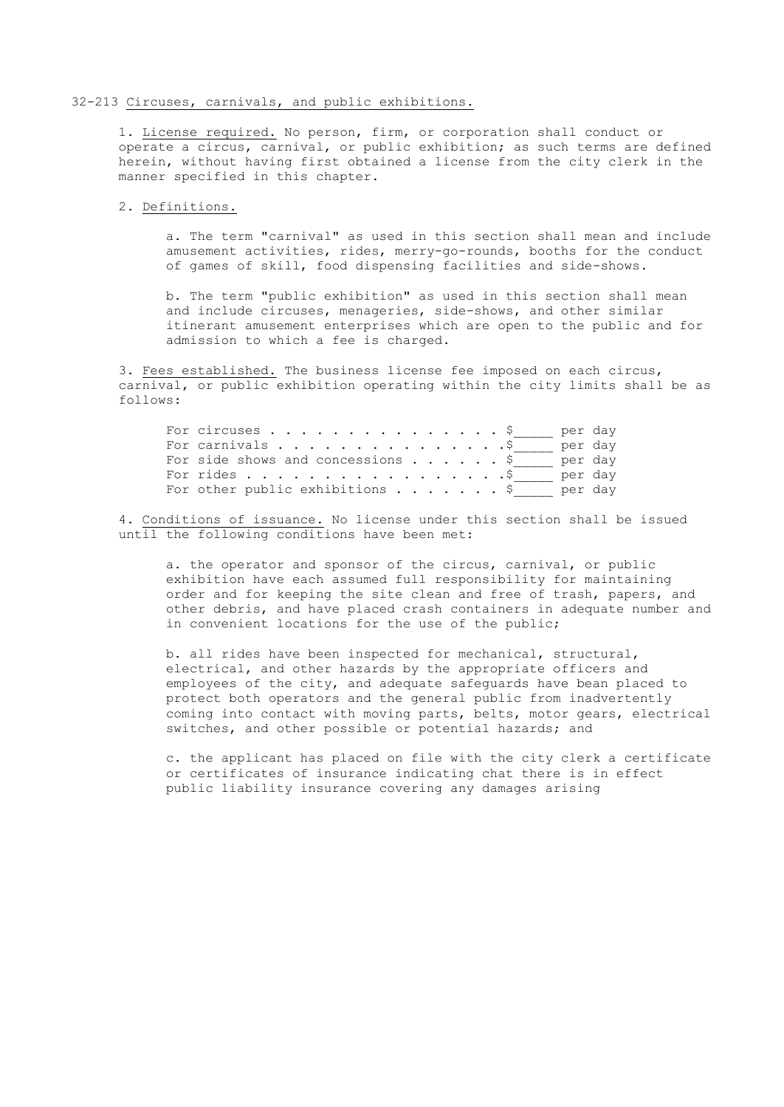### 32-213 Circuses, carnivals, and public exhibitions.

1. License required. No person, firm, or corporation shall conduct or operate a circus, carnival, or public exhibition; as such terms are defined herein, without having first obtained a license from the city clerk in the manner specified in this chapter.

## 2. Definitions.

a. The term "carnival" as used in this section shall mean and include amusement activities, rides, merry-go-rounds, booths for the conduct of games of skill, food dispensing facilities and side-shows.

b. The term "public exhibition" as used in this section shall mean and include circuses, menageries, side-shows, and other similar itinerant amusement enterprises which are open to the public and for admission to which a fee is charged.

3. Fees established. The business license fee imposed on each circus, carnival, or public exhibition operating within the city limits shall be as follows:

| For circuses $\ldots$ $\S$               | per day |  |
|------------------------------------------|---------|--|
|                                          | per day |  |
|                                          | per day |  |
| For rides $\frac{5}{7}$                  | per day |  |
| For other public exhibitions $\ldots$ \$ | per day |  |

4. Conditions of issuance. No license under this section shall be issued until the following conditions have been met:

a. the operator and sponsor of the circus, carnival, or public exhibition have each assumed full responsibility for maintaining order and for keeping the site clean and free of trash, papers, and other debris, and have placed crash containers in adequate number and in convenient locations for the use of the public;

b. all rides have been inspected for mechanical, structural, electrical, and other hazards by the appropriate officers and employees of the city, and adequate safeguards have bean placed to protect both operators and the general public from inadvertently coming into contact with moving parts, belts, motor gears, electrical switches, and other possible or potential hazards; and

c. the applicant has placed on file with the city clerk a certificate or certificates of insurance indicating chat there is in effect public liability insurance covering any damages arising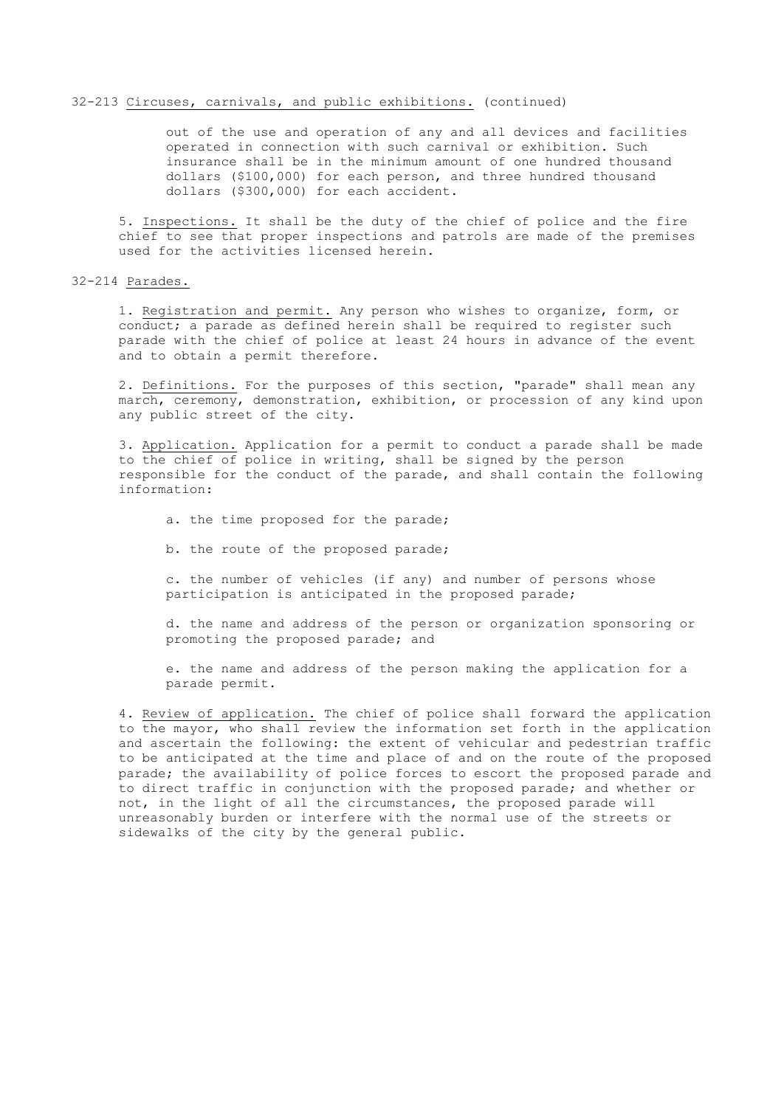#### 32-213 Circuses, carnivals, and public exhibitions. (continued)

out of the use and operation of any and all devices and facilities operated in connection with such carnival or exhibition. Such insurance shall be in the minimum amount of one hundred thousand dollars (\$100,000) for each person, and three hundred thousand dollars (\$300,000) for each accident.

5. Inspections. It shall be the duty of the chief of police and the fire chief to see that proper inspections and patrols are made of the premises used for the activities licensed herein.

## 32-214 Parades.

1. Registration and permit. Any person who wishes to organize, form, or conduct; a parade as defined herein shall be required to register such parade with the chief of police at least 24 hours in advance of the event and to obtain a permit therefore.

2. Definitions. For the purposes of this section, "parade" shall mean any march, ceremony, demonstration, exhibition, or procession of any kind upon any public street of the city.

3. Application. Application for a permit to conduct a parade shall be made to the chief of police in writing, shall be signed by the person responsible for the conduct of the parade, and shall contain the following information:

a. the time proposed for the parade;

b. the route of the proposed parade;

c. the number of vehicles (if any) and number of persons whose participation is anticipated in the proposed parade;

d. the name and address of the person or organization sponsoring or promoting the proposed parade; and

e. the name and address of the person making the application for a parade permit.

4. Review of application. The chief of police shall forward the application to the mayor, who shall review the information set forth in the application and ascertain the following: the extent of vehicular and pedestrian traffic to be anticipated at the time and place of and on the route of the proposed parade; the availability of police forces to escort the proposed parade and to direct traffic in conjunction with the proposed parade; and whether or not, in the light of all the circumstances, the proposed parade will unreasonably burden or interfere with the normal use of the streets or sidewalks of the city by the general public.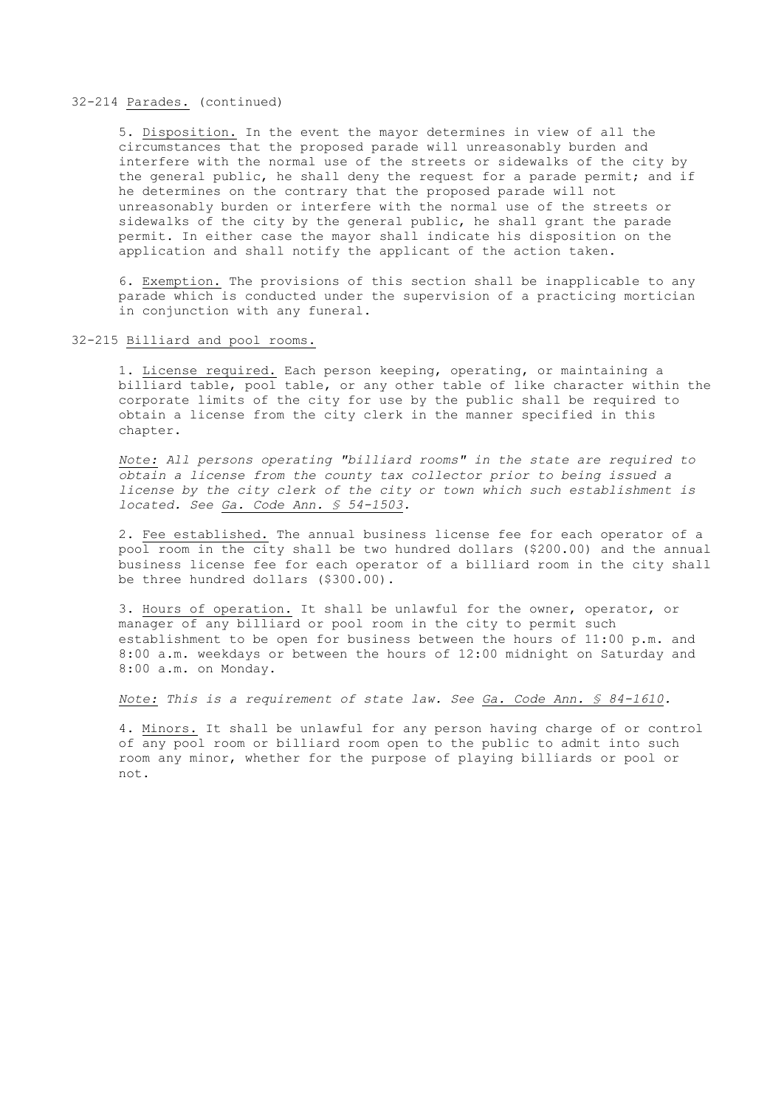## 32-214 Parades. (continued)

5. Disposition. In the event the mayor determines in view of all the circumstances that the proposed parade will unreasonably burden and interfere with the normal use of the streets or sidewalks of the city by the general public, he shall deny the request for a parade permit; and if he determines on the contrary that the proposed parade will not unreasonably burden or interfere with the normal use of the streets or sidewalks of the city by the general public, he shall grant the parade permit. In either case the mayor shall indicate his disposition on the application and shall notify the applicant of the action taken.

6. Exemption. The provisions of this section shall be inapplicable to any parade which is conducted under the supervision of a practicing mortician in conjunction with any funeral.

32-215 Billiard and pool rooms.

1. License required. Each person keeping, operating, or maintaining a billiard table, pool table, or any other table of like character within the corporate limits of the city for use by the public shall be required to obtain a license from the city clerk in the manner specified in this chapter.

*Note: All persons operating "billiard rooms" in the state are required to obtain a license from the county tax collector prior to being issued a license by the city clerk of the city or town which such establishment is located. See Ga. Code Ann. § 54-1503.*

2. Fee established. The annual business license fee for each operator of a pool room in the city shall be two hundred dollars (\$200.00) and the annual business license fee for each operator of a billiard room in the city shall be three hundred dollars (\$300.00).

3. Hours of operation. It shall be unlawful for the owner, operator, or manager of any billiard or pool room in the city to permit such establishment to be open for business between the hours of 11:00 p.m. and 8:00 a.m. weekdays or between the hours of 12:00 midnight on Saturday and 8:00 a.m. on Monday.

*Note: This is a requirement of state law. See Ga. Code Ann. § 84-1610.*

4. Minors. It shall be unlawful for any person having charge of or control of any pool room or billiard room open to the public to admit into such room any minor, whether for the purpose of playing billiards or pool or not.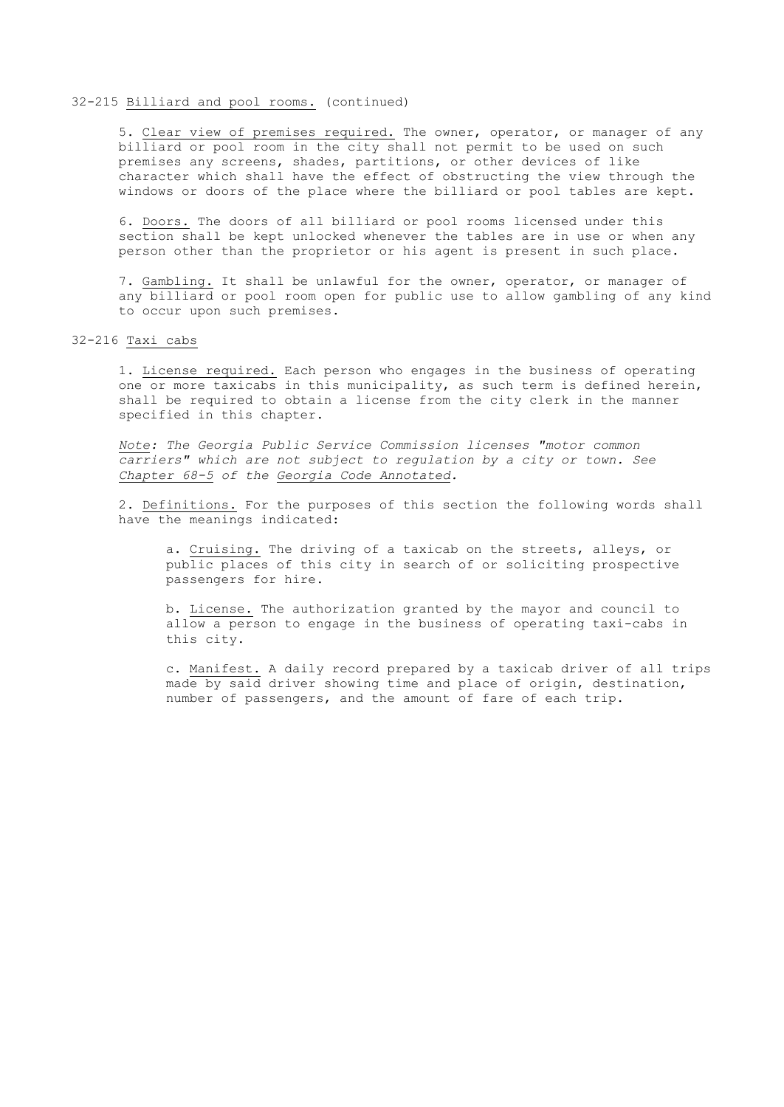### 32-215 Billiard and pool rooms. (continued)

5. Clear view of premises required. The owner, operator, or manager of any billiard or pool room in the city shall not permit to be used on such premises any screens, shades, partitions, or other devices of like character which shall have the effect of obstructing the view through the windows or doors of the place where the billiard or pool tables are kept.

6. Doors. The doors of all billiard or pool rooms licensed under this section shall be kept unlocked whenever the tables are in use or when any person other than the proprietor or his agent is present in such place.

7. Gambling. It shall be unlawful for the owner, operator, or manager of any billiard or pool room open for public use to allow gambling of any kind to occur upon such premises.

## 32-216 Taxi cabs

1. License required. Each person who engages in the business of operating one or more taxicabs in this municipality, as such term is defined herein, shall be required to obtain a license from the city clerk in the manner specified in this chapter.

*Note: The Georgia Public Service Commission licenses "motor common carriers" which are not subject to regulation by a city or town. See Chapter 68-5 of the Georgia Code Annotated.*

2. Definitions. For the purposes of this section the following words shall have the meanings indicated:

a. Cruising. The driving of a taxicab on the streets, alleys, or public places of this city in search of or soliciting prospective passengers for hire.

b. License. The authorization granted by the mayor and council to allow a person to engage in the business of operating taxi-cabs in this city.

c. Manifest. A daily record prepared by a taxicab driver of all trips made by said driver showing time and place of origin, destination, number of passengers, and the amount of fare of each trip.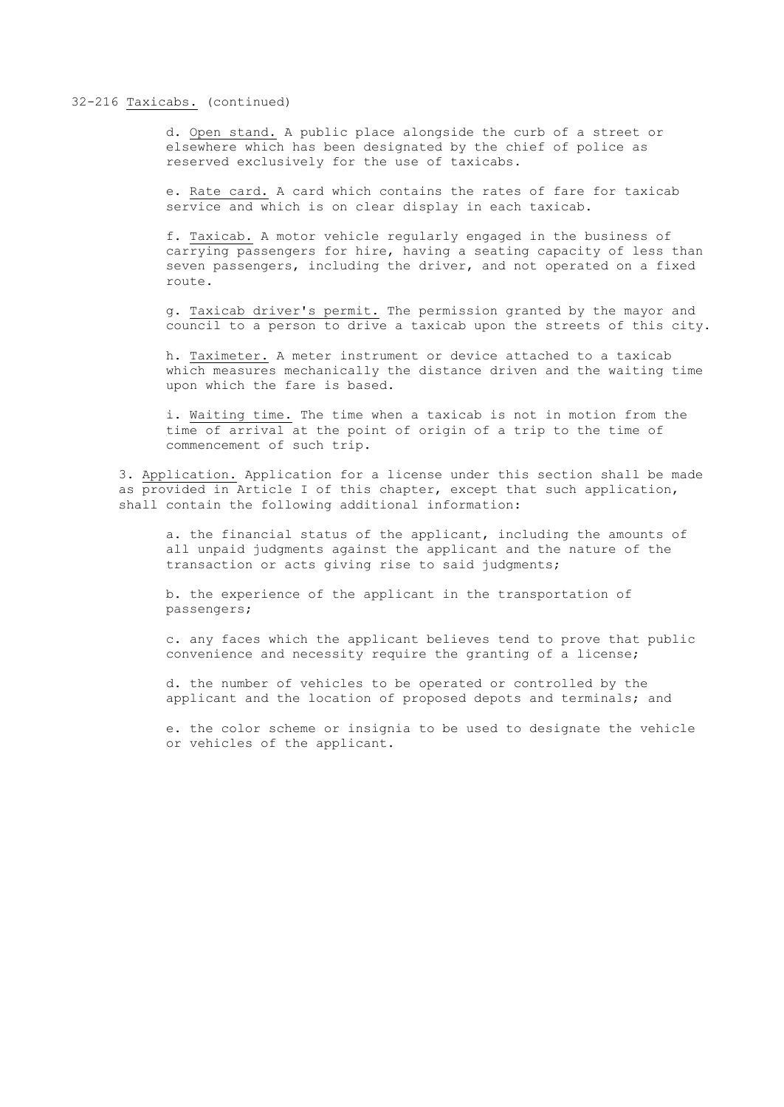### 32-216 Taxicabs. (continued)

d. Open stand. A public place alongside the curb of a street or elsewhere which has been designated by the chief of police as reserved exclusively for the use of taxicabs.

e. Rate card. A card which contains the rates of fare for taxicab service and which is on clear display in each taxicab.

f. Taxicab. A motor vehicle regularly engaged in the business of carrying passengers for hire, having a seating capacity of less than seven passengers, including the driver, and not operated on a fixed route.

g. Taxicab driver's permit. The permission granted by the mayor and council to a person to drive a taxicab upon the streets of this city.

h. Taximeter. A meter instrument or device attached to a taxicab which measures mechanically the distance driven and the waiting time upon which the fare is based.

i. Waiting time. The time when a taxicab is not in motion from the time of arrival at the point of origin of a trip to the time of commencement of such trip.

3. Application. Application for a license under this section shall be made as provided in Article I of this chapter, except that such application, shall contain the following additional information:

a. the financial status of the applicant, including the amounts of all unpaid judgments against the applicant and the nature of the transaction or acts giving rise to said judgments;

b. the experience of the applicant in the transportation of passengers;

c. any faces which the applicant believes tend to prove that public convenience and necessity require the granting of a license;

d. the number of vehicles to be operated or controlled by the applicant and the location of proposed depots and terminals; and

e. the color scheme or insignia to be used to designate the vehicle or vehicles of the applicant.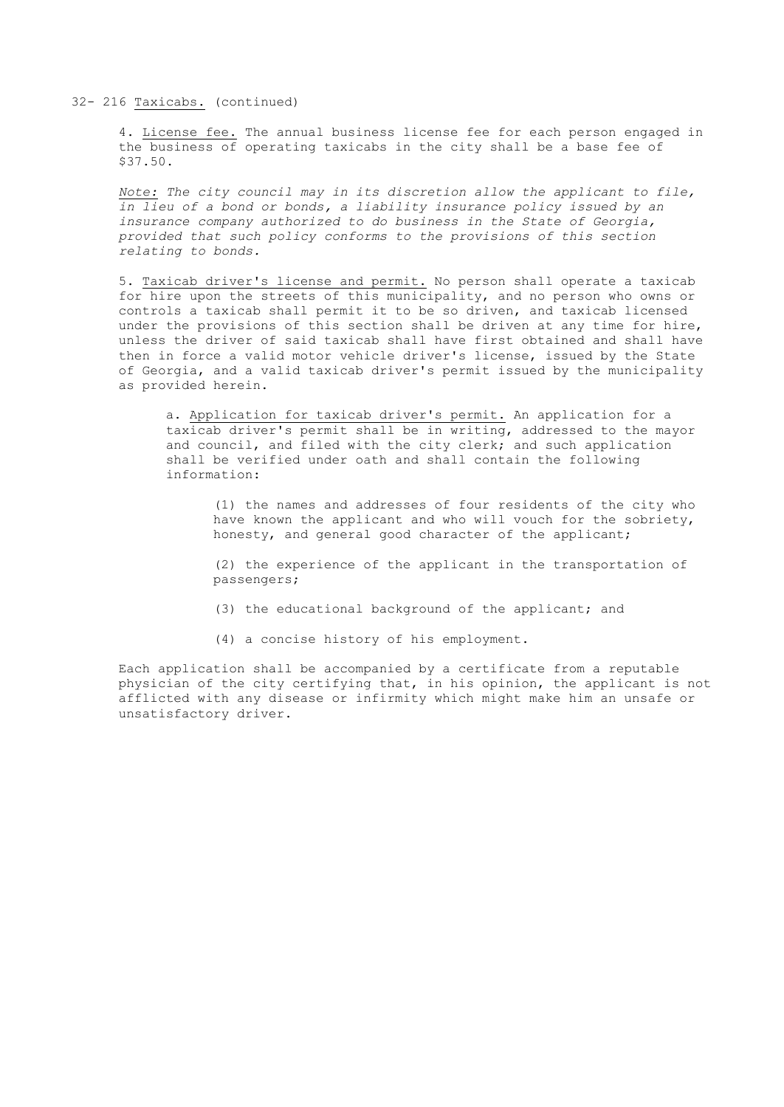32- 216 Taxicabs. (continued)

4. License fee. The annual business license fee for each person engaged in the business of operating taxicabs in the city shall be a base fee of \$37.50.

*Note: The city council may in its discretion allow the applicant to file, in lieu of a bond or bonds, a liability insurance policy issued by an insurance company authorized to do business in the State of Georgia, provided that such policy conforms to the provisions of this section relating to bonds.*

5. Taxicab driver's license and permit. No person shall operate a taxicab for hire upon the streets of this municipality, and no person who owns or controls a taxicab shall permit it to be so driven, and taxicab licensed under the provisions of this section shall be driven at any time for hire, unless the driver of said taxicab shall have first obtained and shall have then in force a valid motor vehicle driver's license, issued by the State of Georgia, and a valid taxicab driver's permit issued by the municipality as provided herein.

a. Application for taxicab driver's permit. An application for a taxicab driver's permit shall be in writing, addressed to the mayor and council, and filed with the city clerk; and such application shall be verified under oath and shall contain the following information:

(1) the names and addresses of four residents of the city who have known the applicant and who will vouch for the sobriety, honesty, and general good character of the applicant;

(2) the experience of the applicant in the transportation of passengers;

(3) the educational background of the applicant; and

(4) a concise history of his employment.

Each application shall be accompanied by a certificate from a reputable physician of the city certifying that, in his opinion, the applicant is not afflicted with any disease or infirmity which might make him an unsafe or unsatisfactory driver.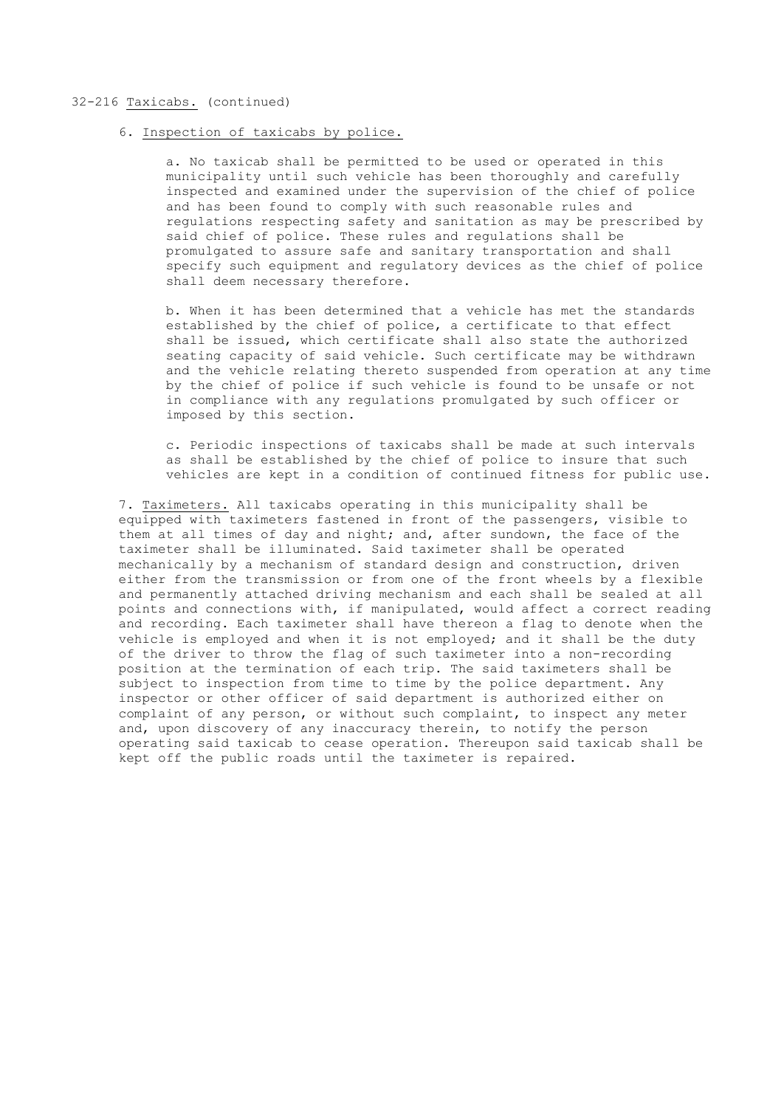### 32-216 Taxicabs. (continued)

## 6. Inspection of taxicabs by police.

a. No taxicab shall be permitted to be used or operated in this municipality until such vehicle has been thoroughly and carefully inspected and examined under the supervision of the chief of police and has been found to comply with such reasonable rules and regulations respecting safety and sanitation as may be prescribed by said chief of police. These rules and regulations shall be promulgated to assure safe and sanitary transportation and shall specify such equipment and regulatory devices as the chief of police shall deem necessary therefore.

b. When it has been determined that a vehicle has met the standards established by the chief of police, a certificate to that effect shall be issued, which certificate shall also state the authorized seating capacity of said vehicle. Such certificate may be withdrawn and the vehicle relating thereto suspended from operation at any time by the chief of police if such vehicle is found to be unsafe or not in compliance with any regulations promulgated by such officer or imposed by this section.

c. Periodic inspections of taxicabs shall be made at such intervals as shall be established by the chief of police to insure that such vehicles are kept in a condition of continued fitness for public use.

7. Taximeters. All taxicabs operating in this municipality shall be equipped with taximeters fastened in front of the passengers, visible to them at all times of day and night; and, after sundown, the face of the taximeter shall be illuminated. Said taximeter shall be operated mechanically by a mechanism of standard design and construction, driven either from the transmission or from one of the front wheels by a flexible and permanently attached driving mechanism and each shall be sealed at all points and connections with, if manipulated, would affect a correct reading and recording. Each taximeter shall have thereon a flag to denote when the vehicle is employed and when it is not employed; and it shall be the duty of the driver to throw the flag of such taximeter into a non-recording position at the termination of each trip. The said taximeters shall be subject to inspection from time to time by the police department. Any inspector or other officer of said department is authorized either on complaint of any person, or without such complaint, to inspect any meter and, upon discovery of any inaccuracy therein, to notify the person operating said taxicab to cease operation. Thereupon said taxicab shall be kept off the public roads until the taximeter is repaired.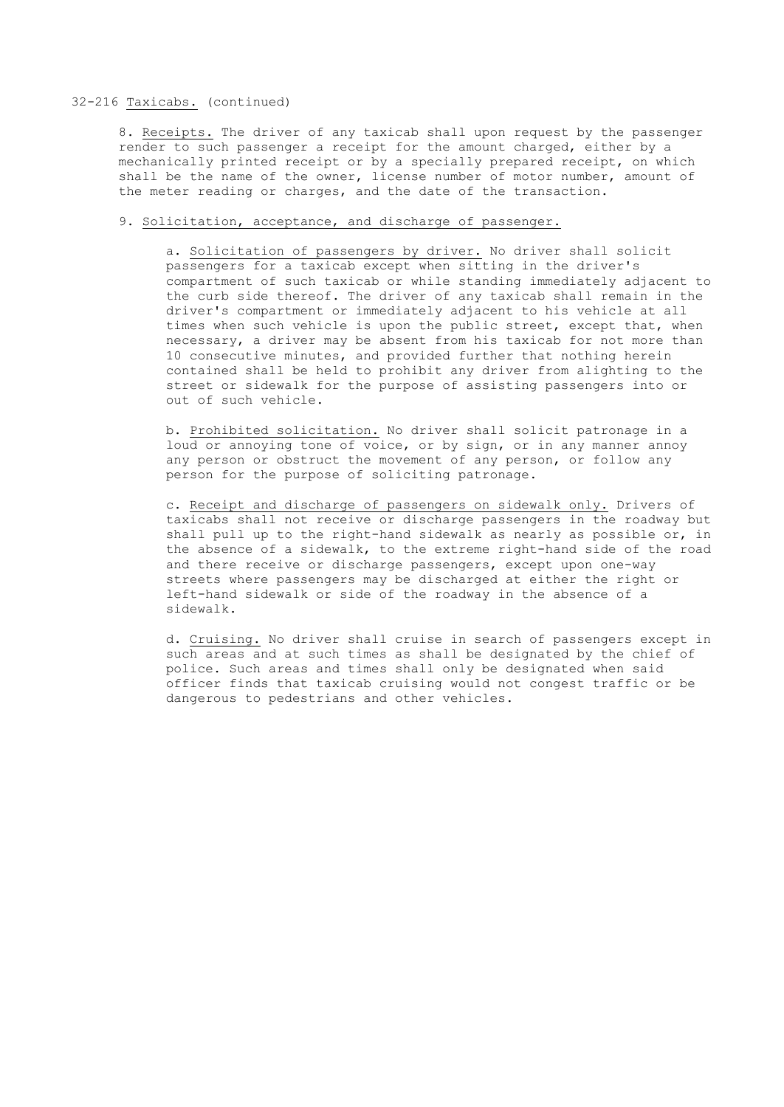### 32-216 Taxicabs. (continued)

8. Receipts. The driver of any taxicab shall upon request by the passenger render to such passenger a receipt for the amount charged, either by a mechanically printed receipt or by a specially prepared receipt, on which shall be the name of the owner, license number of motor number, amount of the meter reading or charges, and the date of the transaction.

## 9. Solicitation, acceptance, and discharge of passenger.

a. Solicitation of passengers by driver. No driver shall solicit passengers for a taxicab except when sitting in the driver's compartment of such taxicab or while standing immediately adjacent to the curb side thereof. The driver of any taxicab shall remain in the driver's compartment or immediately adjacent to his vehicle at all times when such vehicle is upon the public street, except that, when necessary, a driver may be absent from his taxicab for not more than 10 consecutive minutes, and provided further that nothing herein contained shall be held to prohibit any driver from alighting to the street or sidewalk for the purpose of assisting passengers into or out of such vehicle.

b. Prohibited solicitation. No driver shall solicit patronage in a loud or annoying tone of voice, or by sign, or in any manner annoy any person or obstruct the movement of any person, or follow any person for the purpose of soliciting patronage.

c. Receipt and discharge of passengers on sidewalk only. Drivers of taxicabs shall not receive or discharge passengers in the roadway but shall pull up to the right-hand sidewalk as nearly as possible or, in the absence of a sidewalk, to the extreme right-hand side of the road and there receive or discharge passengers, except upon one-way streets where passengers may be discharged at either the right or left-hand sidewalk or side of the roadway in the absence of a sidewalk.

d. Cruising. No driver shall cruise in search of passengers except in such areas and at such times as shall be designated by the chief of police. Such areas and times shall only be designated when said officer finds that taxicab cruising would not congest traffic or be dangerous to pedestrians and other vehicles.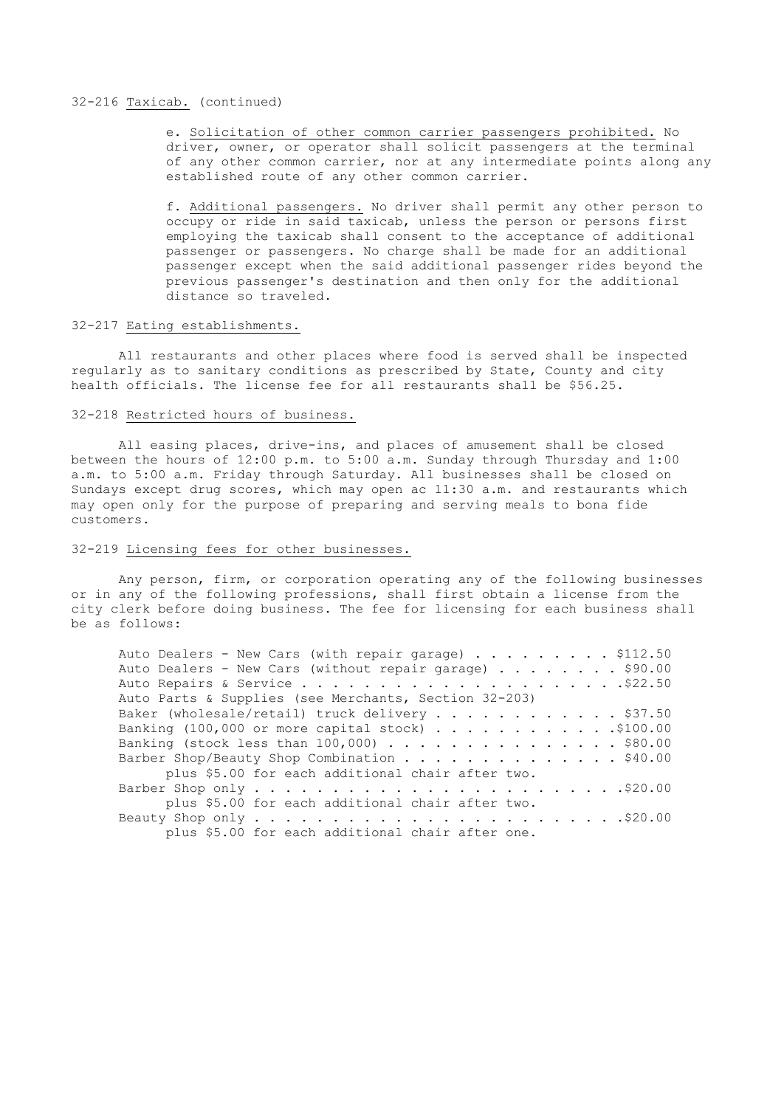## 32-216 Taxicab. (continued)

e. Solicitation of other common carrier passengers prohibited. No driver, owner, or operator shall solicit passengers at the terminal of any other common carrier, nor at any intermediate points along any established route of any other common carrier.

f. Additional passengers. No driver shall permit any other person to occupy or ride in said taxicab, unless the person or persons first employing the taxicab shall consent to the acceptance of additional passenger or passengers. No charge shall be made for an additional passenger except when the said additional passenger rides beyond the previous passenger's destination and then only for the additional distance so traveled.

## 32-217 Eating establishments.

All restaurants and other places where food is served shall be inspected regularly as to sanitary conditions as prescribed by State, County and city health officials. The license fee for all restaurants shall be \$56.25.

### 32-218 Restricted hours of business.

All easing places, drive-ins, and places of amusement shall be closed between the hours of 12:00 p.m. to 5:00 a.m. Sunday through Thursday and 1:00 a.m. to 5:00 a.m. Friday through Saturday. All businesses shall be closed on Sundays except drug scores, which may open ac 11:30 a.m. and restaurants which may open only for the purpose of preparing and serving meals to bona fide customers.

## 32-219 Licensing fees for other businesses.

Any person, firm, or corporation operating any of the following businesses or in any of the following professions, shall first obtain a license from the city clerk before doing business. The fee for licensing for each business shall be as follows:

| Auto Dealers - New Cars (with repair garage) \$112.50   |
|---------------------------------------------------------|
| Auto Dealers - New Cars (without repair garage) \$90.00 |
|                                                         |
| Auto Parts & Supplies (see Merchants, Section 32-203)   |
| Baker (wholesale/retail) truck delivery \$37.50         |
| Banking $(100,000$ or more capital stock) \$100.00      |
| Banking (stock less than $100,000)$ \$80.00             |
| Barber Shop/Beauty Shop Combination \$40.00             |
| plus \$5.00 for each additional chair after two.        |
|                                                         |
| plus \$5.00 for each additional chair after two.        |
|                                                         |
| plus \$5.00 for each additional chair after one.        |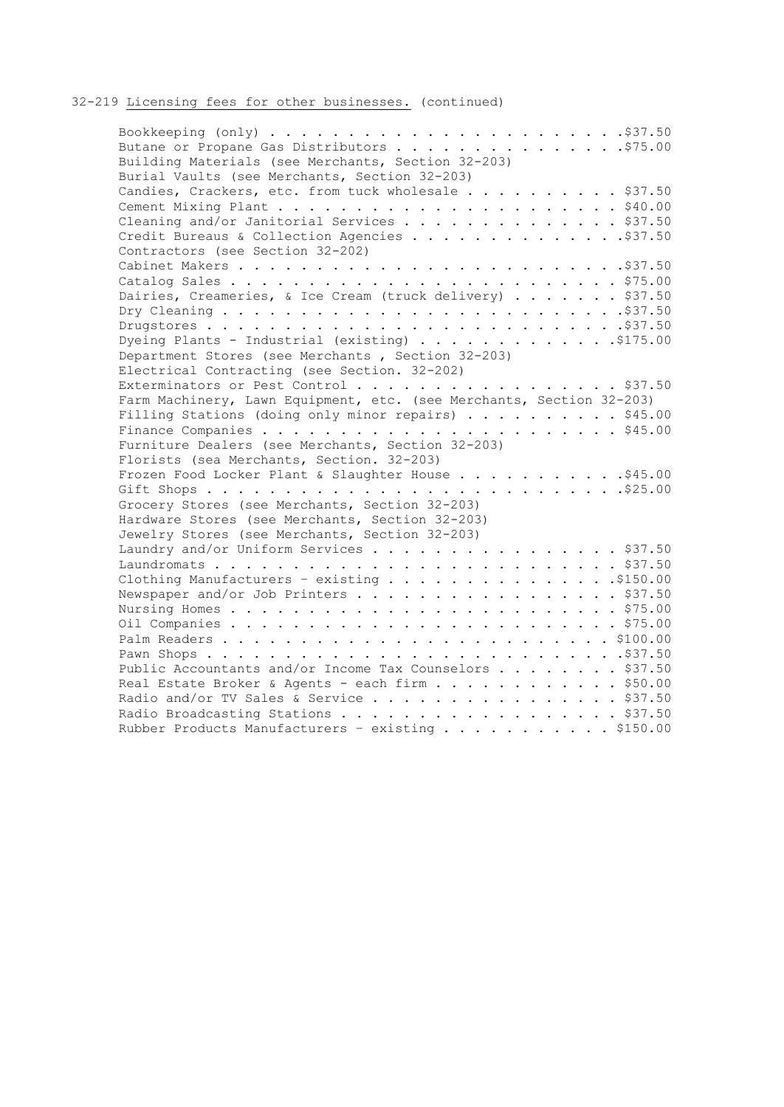# 32-219 Licensing fees for other businesses. (continued)

| Building Materials (see Merchants, Section 32-203)                   |
|----------------------------------------------------------------------|
| Burial Vaults (see Merchants, Section 32-203)                        |
| Candies, Crackers, etc. from tuck wholesale \$37.50                  |
|                                                                      |
| Cleaning and/or Janitorial Services \$37.50                          |
| Credit Bureaus & Collection Agencies \$37.50                         |
| Contractors (see Section 32-202)                                     |
|                                                                      |
|                                                                      |
| Dairies, Creameries, & Ice Cream (truck delivery) \$37.50            |
|                                                                      |
|                                                                      |
|                                                                      |
| Department Stores (see Merchants, Section 32-203)                    |
| Electrical Contracting (see Section. 32-202)                         |
| Exterminators or Pest Control \$37.50                                |
| Farm Machinery, Lawn Equipment, etc. (see Merchants, Section 32-203) |
| Filling Stations (doing only minor repairs) \$45.00                  |
|                                                                      |
| Furniture Dealers (see Merchants, Section 32-203)                    |
| Florists (sea Merchants, Section. 32-203)                            |
| Frozen Food Locker Plant & Slaughter House \$45.00                   |
|                                                                      |
| Grocery Stores (see Merchants, Section 32-203)                       |
| Hardware Stores (see Merchants, Section 32-203)                      |
| Jewelry Stores (see Merchants, Section 32-203)                       |
| Laundry and/or Uniform Services \$37.50                              |
|                                                                      |
|                                                                      |
| Newspaper and/or Job Printers \$37.50                                |
|                                                                      |
|                                                                      |
|                                                                      |
|                                                                      |
| Public Accountants and/or Income Tax Counselors \$37.50              |
| Real Estate Broker & Agents - each firm \$50.00                      |
| Radio and/or TV Sales & Service \$37.50                              |
| Radio Broadcasting Stations \$37.50                                  |
| Rubber Products Manufacturers - existing \$150.00                    |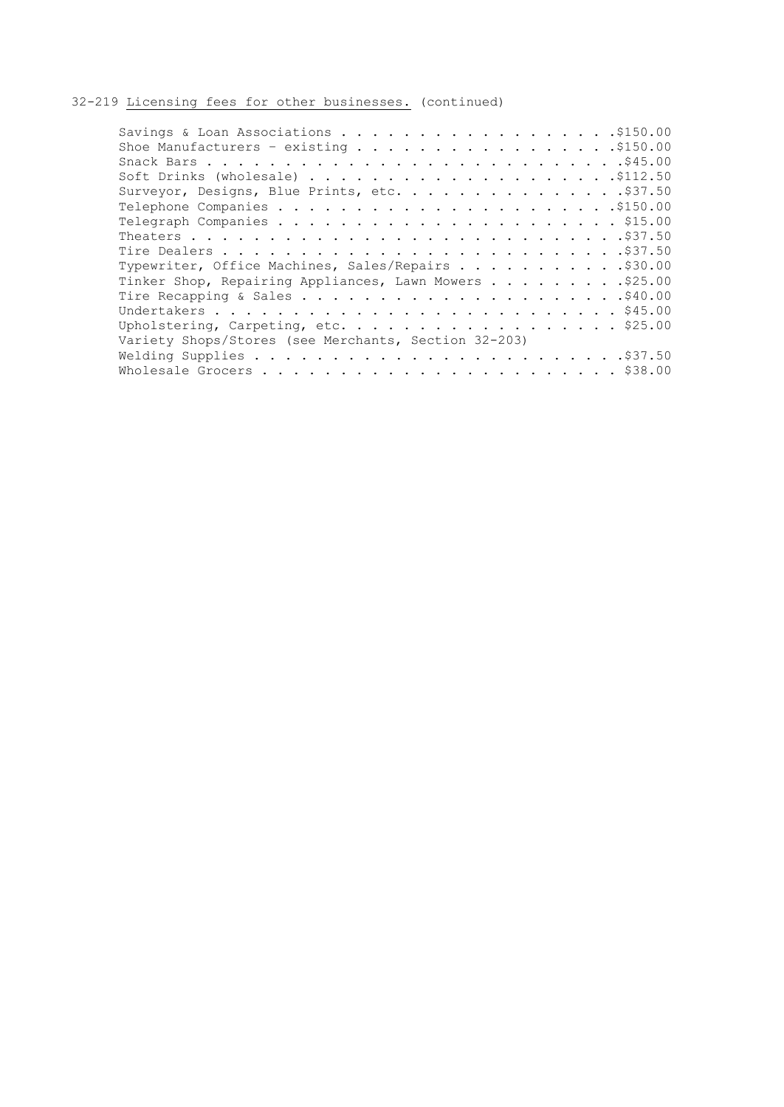# 32-219 Licensing fees for other businesses. (continued)

| Surveyor, Designs, Blue Prints, etc. \$37.50           |
|--------------------------------------------------------|
|                                                        |
|                                                        |
|                                                        |
|                                                        |
| Typewriter, Office Machines, Sales/Repairs \$30.00     |
| Tinker Shop, Repairing Appliances, Lawn Mowers \$25.00 |
|                                                        |
|                                                        |
|                                                        |
| Variety Shops/Stores (see Merchants, Section 32-203)   |
|                                                        |
|                                                        |